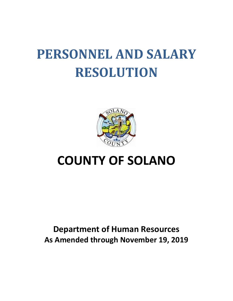# **PERSONNEL AND SALARY RESOLUTION**



## **COUNTY OF SOLANO**

### **Department of Human Resources As Amended through November 19, 2019**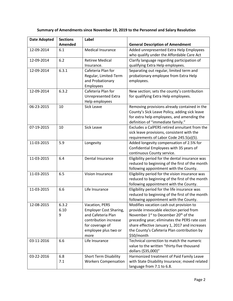| Summary of Amendments since November 19, 2019 to the Personnel and Salary Resolution |  |
|--------------------------------------------------------------------------------------|--|
|--------------------------------------------------------------------------------------|--|

| <b>Date Adopted</b> | <b>Sections</b> | Label                                                       |                                                                                             |
|---------------------|-----------------|-------------------------------------------------------------|---------------------------------------------------------------------------------------------|
|                     | Amended         |                                                             | <b>General Description of Amendment</b>                                                     |
| 12-09-2014          | 6.1             | <b>Medical Insurance</b>                                    | Added unrepresented Extra Help Employees                                                    |
|                     |                 |                                                             | who qualify under the Affordable Care Act                                                   |
| 12-09-2014          | 6.2             | <b>Retiree Medical</b>                                      | Clarify language regarding participation of                                                 |
|                     |                 | Insurance.                                                  | qualifying Extra Help employees.                                                            |
| 12-09-2014          | 6.3.1           | Cafeteria Plan for                                          | Separating out regular, limited term and                                                    |
|                     |                 | Regular, Limited-Term                                       | probationary employee from Extra Help                                                       |
|                     |                 | and Probationary                                            | employees.                                                                                  |
|                     |                 | Employees                                                   |                                                                                             |
| 12-09-2014          | 6.3.2           | Cafeteria Plan for                                          | New section; sets the county's contribution                                                 |
|                     |                 | <b>Unrepresented Extra</b>                                  | for qualifying Extra Help employees.                                                        |
|                     |                 | Help employees                                              |                                                                                             |
| 06-23-2015          | 10              | <b>Sick Leave</b>                                           | Removing provisions already contained in the                                                |
|                     |                 |                                                             | County's Sick Leave Policy, adding sick leave                                               |
|                     |                 |                                                             | for extra help employees, and amending the                                                  |
|                     |                 |                                                             | definition of "immediate family."                                                           |
| 07-19-2015          | 10              | <b>Sick Leave</b>                                           | Excludes a CalPERS retired annuitant from the                                               |
|                     |                 |                                                             | sick leave provisions, consistent with the                                                  |
|                     |                 |                                                             | requirements of Labor Code 245.5(a)(5).                                                     |
| 11-03-2015          | 5.9             | Longevity                                                   | Added longevity compensation of 2.5% for                                                    |
|                     |                 |                                                             | Confidential Employees with 35 years of                                                     |
|                     |                 |                                                             | continuous County service.                                                                  |
| 11-03-2015          | 6.4             | Dental Insurance                                            | Eligibility period for the dental insurance was                                             |
|                     |                 |                                                             | reduced to beginning of the first of the month                                              |
|                     |                 |                                                             | following appointment with the County.                                                      |
| 11-03-2015          | 6.5             | Vision Insurance                                            | Eligibility period for the vision insurance was                                             |
|                     |                 |                                                             | reduced to beginning of the first of the month                                              |
|                     |                 |                                                             | following appointment with the County.                                                      |
| 11-03-2015          | 6.6             | Life Insurance                                              | Eligibility period for the life insurance was                                               |
|                     |                 |                                                             | reduced to beginning of the first of the month                                              |
|                     |                 |                                                             | following appointment with the County.                                                      |
| 12-08-2015          | 6.3.2           | Vacation, PERS                                              | Modifies vacation cash out provision to                                                     |
|                     | 6.10            | <b>Employer Cost Sharing,</b>                               | provide irrevocable election period from                                                    |
|                     | 9               | and Cafeteria Plan                                          | November 1 <sup>st</sup> to December 20 <sup>th</sup> of the                                |
|                     |                 | contribution increase                                       | preceding year; eliminates the PERS rate cost                                               |
|                     |                 | for coverage of                                             | share effective January 1, 2017 and increases                                               |
|                     |                 | employee plus two or                                        | the County's Cafeteria Plan contribution by                                                 |
|                     |                 | more                                                        | \$50/month<br>Technical correction to match the numeric                                     |
| 03-11-2016          | 6.6             | Life Insurance                                              |                                                                                             |
|                     |                 |                                                             | value to the written "thirty-five thousand                                                  |
|                     |                 |                                                             | dollars (\$35,000)"                                                                         |
| 03-22-2016          | 6.8<br>7.1      | <b>Short Term Disability</b><br><b>Workers Compensation</b> | Harmonized treatment of Paid Family Leave<br>with State Disability Insurance; moved related |
|                     |                 |                                                             |                                                                                             |
|                     |                 |                                                             | language from 7.1 to 6.8.                                                                   |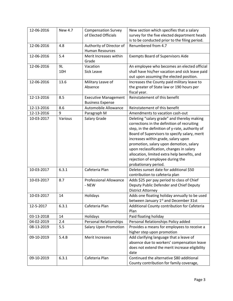| 12-06-2016 | <b>New 4.7</b> | <b>Compensation Survey</b><br>of Elected Officials | New section which specifies that a salary<br>survey for the five elected department heads  |
|------------|----------------|----------------------------------------------------|--------------------------------------------------------------------------------------------|
|            |                |                                                    | is to be conducted prior to the filing period.                                             |
| 12-06-2016 | 4.8            | Authority of Director of<br><b>Human Resources</b> | Renumbered from 4.7                                                                        |
| 12-06-2016 | 5.4            | Merit Increases within<br>Grade                    | <b>Exempts Board of Supervisors Aide</b>                                                   |
| 12-06-2016 | 9L             | Vacation                                           | An employee who becomes an elected official                                                |
|            | 10H            | <b>Sick Leave</b>                                  | shall have his/her vacation and sick leave paid<br>out upon assuming the elected position. |
| 12-06-2016 | 13.6           | Military Leave of                                  | Increases the County paid military leave to                                                |
|            |                | Absence                                            | the greater of State law or 190 hours per<br>fiscal year.                                  |
| 12-13-2016 | 8.5            | <b>Executive Management</b>                        | Reinstatement of this benefit                                                              |
|            |                | <b>Business Expense</b>                            |                                                                                            |
| 12-13-2016 | 8.6            | Automobile Allowance                               | Reinstatement of this benefit                                                              |
| 12-13-2016 | 9              | Paragraph M                                        | Amendments to vacation cash-out                                                            |
| 10-03-2017 | Various        | Salary Grade                                       | Deleting "salary grade" and thereby making                                                 |
|            |                |                                                    | corrections in the definition of recruiting                                                |
|            |                |                                                    | step, in the definition of y-rate, authority of                                            |
|            |                |                                                    | Board of Supervisors to specify salary, merit                                              |
|            |                |                                                    | increases within grade, salary upon                                                        |
|            |                |                                                    | promotion, salary upon demotion, salary                                                    |
|            |                |                                                    | upon reclassification, changes in salary                                                   |
|            |                |                                                    | allocation, limited extra help benefits, and                                               |
|            |                |                                                    | rejection of employee during the                                                           |
|            |                |                                                    | probationary period.                                                                       |
| 10-03-2017 | 6.3.1          | Cafeteria Plan                                     | Deletes sunset date for additional \$50                                                    |
|            |                |                                                    | contribution to cafeteria plan                                                             |
| 10-03-2017 | 8.7            | <b>Professional Allowance</b>                      | Adds \$25 per pay period to class of Chief                                                 |
|            |                | - NEW                                              | Deputy Public Defender and Chief Deputy                                                    |
|            |                |                                                    | <b>District Attorney</b>                                                                   |
| 10-03-2017 | 14             | Holidays                                           | Adds one floating holiday annually to be used                                              |
|            |                |                                                    | between January 1st and December 31st                                                      |
| 12-5-2017  | 6.3.1          | Cafeteria Plan                                     | Additional County contribution for Cafeteria<br>Plan                                       |
| 03-13-2018 | 14             | Holidays                                           | Paid floating holiday                                                                      |
| 04-02-2019 | 2.4            | <b>Personal Relationships</b>                      | Personal Relationships Policy added                                                        |
| 08-13-2019 | 5.5            | <b>Salary Upon Promotion</b>                       | Provides a means for employees to receive a                                                |
|            |                |                                                    | higher step upon promotion                                                                 |
| 09-10-2019 | 5.4.B          | Merit Increases                                    | Add clarifying language that a leave of                                                    |
|            |                |                                                    | absence due to workers' compensation leave                                                 |
|            |                |                                                    | does not extend the merit increase eligibility                                             |
|            |                |                                                    | date                                                                                       |
| 09-10-2019 | 6.3.1          | Cafeteria Plan                                     | Continued the alternative \$80 additional                                                  |
|            |                |                                                    | County contribution for family coverage,                                                   |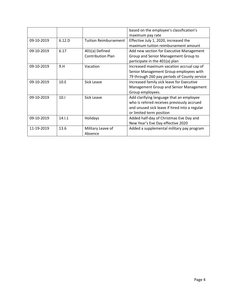|            |        |                              | based on the employee's classification's      |
|------------|--------|------------------------------|-----------------------------------------------|
|            |        |                              | maximum pay rate                              |
| 09-10-2019 | 6.12.D | <b>Tuition Reimbursement</b> | Effective July 1, 2020, increased the         |
|            |        |                              | maximum tuition reimbursement amount          |
| 09-10-2019 | 6.17   | 401(a) Defined               | Add new section for Executive Management      |
|            |        | <b>Contribution Plan</b>     | Group and Senior Management Group to          |
|            |        |                              | participate in the 401(a) plan                |
| 09-10-2019 | 9.H    | Vacation                     | Increased maximum vacation accrual cap of     |
|            |        |                              | Senior Management Group employees with        |
|            |        |                              | 79 through 260 pay periods of County service  |
| 09-10-2019 | 10.E   | Sick Leave                   | Increased family sick leave for Executive     |
|            |        |                              | Management Group and Senior Management        |
|            |        |                              | Group employees.                              |
| 09-10-2019 | 10.1   | Sick Leave                   | Add clarifying language that an employee      |
|            |        |                              | who is rehired receives previously accrued    |
|            |        |                              | and unused sick leave if hired into a regular |
|            |        |                              | or limited term position                      |
| 09-10-2019 | 14.1.1 | Holidays                     | Added half-day of Christmas Eve Day and       |
|            |        |                              | New Year's Eve Day effective 2020             |
| 11-19-2019 | 13.6   | Military Leave of            | Added a supplemental military pay program     |
|            |        | Absence                      |                                               |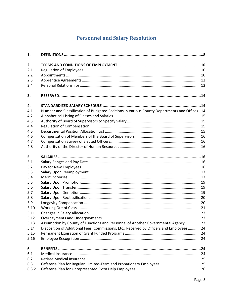### **Personnel and Salary Resolution**

| 1.    |                                                                                             |  |
|-------|---------------------------------------------------------------------------------------------|--|
| 2.    |                                                                                             |  |
| 2.1   |                                                                                             |  |
| 2.2   |                                                                                             |  |
| 2.3   |                                                                                             |  |
| 2.4   |                                                                                             |  |
| 3.    |                                                                                             |  |
| 4.    |                                                                                             |  |
| 4.1   | Number and Classification of Budgeted Positions in Various County Departments and Offices14 |  |
| 4.2   |                                                                                             |  |
| 4.3   |                                                                                             |  |
| 4.4   |                                                                                             |  |
| 4.5   |                                                                                             |  |
| 4.6   |                                                                                             |  |
| 4.7   |                                                                                             |  |
| 4.8   |                                                                                             |  |
| 5.    |                                                                                             |  |
| 5.1   |                                                                                             |  |
| 5.2   |                                                                                             |  |
| 5.3   |                                                                                             |  |
| 5.4   |                                                                                             |  |
| 5.5   |                                                                                             |  |
| 5.6   |                                                                                             |  |
| 5.7   |                                                                                             |  |
| 5.8   |                                                                                             |  |
| 5.9   |                                                                                             |  |
| 5.10  |                                                                                             |  |
| 5.11  |                                                                                             |  |
| 5.12  |                                                                                             |  |
| 5.13  | Assumption by County of Functions and Personnel of Another Governmental Agency 23           |  |
| 5.14  | Disposition of Additional Fees, Commissions, Etc., Received by Officers and Employees  24   |  |
| 5.15  |                                                                                             |  |
| 5.16  |                                                                                             |  |
| 6.    |                                                                                             |  |
| 6.1   |                                                                                             |  |
| 6.2   |                                                                                             |  |
| 6.3.1 |                                                                                             |  |
| 6.3.2 |                                                                                             |  |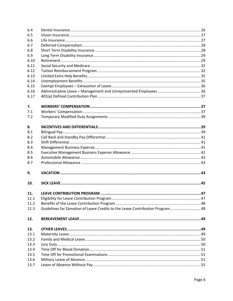| 6.4  |                                                                               |  |
|------|-------------------------------------------------------------------------------|--|
| 6.5  |                                                                               |  |
| 6.6  |                                                                               |  |
| 6.7  |                                                                               |  |
| 6.8  |                                                                               |  |
| 6.9  |                                                                               |  |
| 6.10 |                                                                               |  |
| 6.11 |                                                                               |  |
| 6.12 |                                                                               |  |
| 6.13 |                                                                               |  |
| 6.14 |                                                                               |  |
| 6.15 |                                                                               |  |
| 6.16 |                                                                               |  |
| 6.17 |                                                                               |  |
|      |                                                                               |  |
| 7.   |                                                                               |  |
| 7.1  |                                                                               |  |
| 7.2  |                                                                               |  |
| 8.   |                                                                               |  |
| 8.1  |                                                                               |  |
| 8.2  |                                                                               |  |
| 8.3  |                                                                               |  |
| 8.4  |                                                                               |  |
| 8.5  |                                                                               |  |
| 8.6  |                                                                               |  |
| 8.7  |                                                                               |  |
| 9.   |                                                                               |  |
| 10.  |                                                                               |  |
| 11.  |                                                                               |  |
| 11.1 |                                                                               |  |
| 11.2 |                                                                               |  |
| 11.3 | Guidelines for Donation of Leave Credits to the Leave Contribution Program 48 |  |
|      |                                                                               |  |
| 12.  |                                                                               |  |
| 13.  |                                                                               |  |
| 13.1 |                                                                               |  |
| 13.2 |                                                                               |  |
| 13.3 |                                                                               |  |
| 13.4 |                                                                               |  |
| 13.5 |                                                                               |  |
| 13.6 |                                                                               |  |
| 13.7 |                                                                               |  |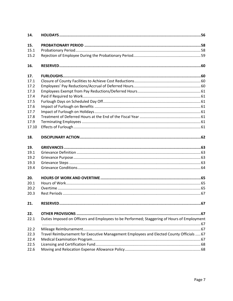| 14.   |                                                                                             |  |
|-------|---------------------------------------------------------------------------------------------|--|
| 15.   |                                                                                             |  |
| 15.1  |                                                                                             |  |
| 15.2  |                                                                                             |  |
| 16.   |                                                                                             |  |
| 17.   |                                                                                             |  |
| 17.1  |                                                                                             |  |
| 17.2  |                                                                                             |  |
| 17.3  |                                                                                             |  |
| 17.4  |                                                                                             |  |
| 17.5  |                                                                                             |  |
| 17.6  |                                                                                             |  |
| 17.7  |                                                                                             |  |
| 17.8  |                                                                                             |  |
| 17.9  |                                                                                             |  |
| 17.10 |                                                                                             |  |
| 18.   |                                                                                             |  |
| 19.   |                                                                                             |  |
| 19.1  |                                                                                             |  |
| 19.2  |                                                                                             |  |
| 19.3  |                                                                                             |  |
| 19.4  |                                                                                             |  |
| 20.   |                                                                                             |  |
| 20.1  |                                                                                             |  |
| 20.2  |                                                                                             |  |
| 20.3  |                                                                                             |  |
| 21.   |                                                                                             |  |
| 22.   |                                                                                             |  |
| 22.1  | Duties Imposed on Officers and Employees to be Performed; Staggering of Hours of Employment |  |
|       |                                                                                             |  |
| 22.2  |                                                                                             |  |
| 22.3  | Travel Reimbursement for Executive Management Employees and Elected County Officials  67    |  |
| 22.4  |                                                                                             |  |
| 22.5  |                                                                                             |  |
| 22.6  |                                                                                             |  |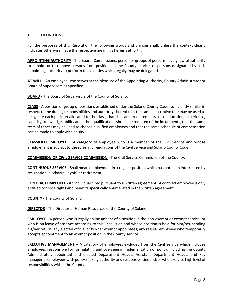#### <span id="page-7-0"></span>**1. DEFINITIONS**

For the purposes of this Resolution the following words and phrases shall, unless the context clearly indicates otherwise, have the respective meanings herein set forth:

**APPOINTING AUTHORITY -** The Board, Commissions, person or groups of persons having lawful authority to appoint or to remove persons from positions in the County service, or persons designated by such appointing authority to perform those duties which legally may be delegated.

**AT WILL** – An employee who serves at the pleasure of the Appointing Authority, County Administrator or Board of Supervisors as specified.

**BOARD -** The Board of Supervisors of the County of Solano.

**CLASS -** A position or group of positions established under the Solano County Code, sufficiently similar in respect to the duties, responsibilities and authority thereof that the same descriptive title may be used to designate each position allocated to the class, that the same requirements as to education, experience, capacity, knowledge, ability and other qualifications should be required of the incumbents, that the same tests of fitness may be used to choose qualified employees and that the same schedule of compensation can be made to apply with equity.

**CLASSIFIED EMPLOYEE** – A category of employee who is a member of the Civil Service and whose employment is subject to the rules and regulations of the Civil Service and Solano County Code.

**COMMISSION OR CIVIL SERVICE COMMISSION -** The Civil Service Commission of the County.

**CONTINUOUS SERVICE -** Shall mean employment in a regular position which has not been interrupted by resignation, discharge, layoff, or retirement.

**CONTRACT EMPLOYEE -** An individual hired pursuant to a written agreement. A contract employee is only entitled to those rights and benefits specifically enumerated in the written agreement.

**COUNTY -** The County of Solano.

**DIRECTOR -** The Director of Human Resources of the County of Solano.

**EMPLOYEE -** A person who is legally an incumbent of a position in the non-exempt or exempt service, or who is on leave of absence according to this Resolution and whose position is held for him/her pending his/her return; any elected official or his/her exempt appointees; any regular employee who temporarily accepts appointment to an exempt position in the County service.

**EXECUTIVE MANAGEMENT** – A category of employees excluded from the Civil Service which includes employees responsible for formulating and overseeing implementation of policy, including the County Administrator, appointed and elected Department Heads, Assistant Department Heads, and key managerial employees with policy-making authority and responsibilities and/or who exercise high level of responsibilities within the County.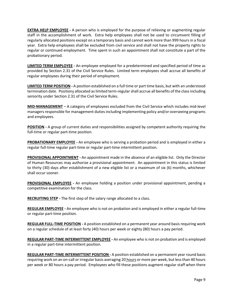**EXTRA HELP EMPLOYEE -** A person who is employed for the purpose of relieving or augmenting regular staff in the accomplishment of work. Extra help employees shall not be used to circumvent filling of regularly allocated positions except on a temporary basis and cannot work more than 999 hours in a fiscal year. Extra help employees shall be excluded from civil service and shall not have the property rights to regular or continued employment. Time spent in such an appointment shall not constitute a part of the probationary period.

**LIMITED TERM EMPLOYEE -** An employee employed for a predetermined and specified period of time as provided by Section 2.31 of the Civil Service Rules. Limited term employees shall accrue all benefits of regular employees during their period of employment.

**LIMITED TERM POSITION -** A position established on a full time or part time basis, but with an understood termination date. Positions allocated as limited term-regular shall accrue all benefits of the class including seniority under Section 2.31 of the Civil Service Rules.

**MID-MANAGEMENT** – A category of employees excluded from the Civil Service which includes mid-level managers responsible for management duties including implementing policy and/or overseeing programs and employees.

**POSITION -** A group of current duties and responsibilities assigned by competent authority requiring the full-time or regular part-time position.

**PROBATIONARY EMPLOYEE -** An employee who is serving a probation period and is employed in either a regular full-time regular part-time or regular part-time intermittent position.

**PROVISIONAL APPOINTMENT -** An appointment made in the absence of an eligible list. Only the Director of Human Resources may authorize a provisional appointment. An appointment in this status is limited to thirty (30) days after establishment of a new eligible list or a maximum of six (6) months, whichever shall occur sooner.

**PROVISIONAL EMPLOYEE -** An employee holding a position under provisional appointment, pending a competitive examination for the class.

**RECRUITING STEP -** The first step of the salary range allocated to a class.

**REGULAR EMPLOYEE -** An employee who is not on probation and is employed in either a regular full-time or regular part-time position.

**REGULAR FULL-TIME POSITION -** A position established on a permanent year around basis requiring work on a regular schedule of at least forty (40) hours per week or eighty (80) hours a pay period.

**REGULAR PART-TIME INTERMITTENT EMPLOYEE -** An employee who is not on probation and is employed in a regular part-time intermittent position.

**REGULAR PART-TIME INTERMITTENT POSITION -** A position established on a permanent year round basis requiring work on an on-call or irregular basis averaging 20 hours or more per week, but less than 40 hours per week or 80 hours a pay period. Employees who fill these positions augment regular staff when there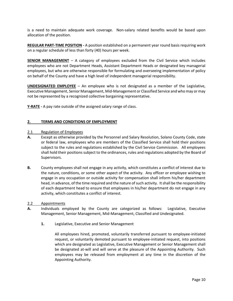is a need to maintain adequate work coverage. Non-salary related benefits would be based upon allocation of the position.

**REGULAR PART-TIME POSITION -** A position established on a permanent year round basis requiring work on a regular schedule of less than forty (40) hours per week.

**SENIOR MANAGEMENT** – A category of employees excluded from the Civil Service which includes employees who are not Department Heads, Assistant Department Heads or designated key managerial employees, but who are otherwise responsible for formulating and overseeing implementation of policy on behalf of the County and have a high level of independent managerial responsibility.

**UNDESIGNATED EMPLOYEE** – An employee who is not designated as a member of the Legislative, Executive Management, Senior Management, Mid-Management or Classified Service and who may or may not be represented by a recognized collective bargaining representative.

**Y-RATE -** A pay rate outside of the assigned salary range of class.

#### <span id="page-9-0"></span>**2. TERMS AND CONDITIONS OF EMPLOYMENT**

#### <span id="page-9-1"></span>2.1 Regulation of Employees

- **A.** Except as otherwise provided by the Personnel and Salary Resolution, Solano County Code, state or federal law, employees who are members of the Classified Service shall hold their positions subject to the rules and regulations established by the Civil Service Commission. All employees shall hold their positions subject to the ordinances, rules and regulations adopted by the Board of Supervisors.
- **B.** County employees shall not engage in any activity, which constitutes a conflict of interest due to the nature, conditions, or some other aspect of the activity. Any officer or employee wishing to engage in any occupation or outside activity for compensation shall inform his/her department head, in advance, of the time required and the nature of such activity. It shall be the responsibility of each department head to ensure that employees in his/her department do not engage in any activity, which constitutes a conflict of interest.
- <span id="page-9-2"></span>2.2 Appointments
- **A.** Individuals employed by the County are categorized as follows: Legislative, Executive Management, Senior Management, Mid-Management, Classified and Undesignated.
	- **1.** Legislative, Executive and Senior Management

All employees hired, promoted, voluntarily transferred pursuant to employee-initiated request, or voluntarily demoted pursuant to employee-initiated request, into positions which are designated as Legislative, Executive Management or Senior Management shall be designated at-will and will serve at the pleasure of the Appointing Authority. Such employees may be released from employment at any time in the discretion of the Appointing Authority.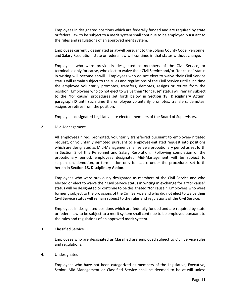Employees in designated positions which are federally funded and are required by state or federal law to be subject to a merit system shall continue to be employed pursuant to the rules and regulations of an approved merit system.

Employees currently designated as at-will pursuant to the Solano County Code, Personnel and Salary Resolution, state or federal law will continue in that status without change.

Employees who were previously designated as members of the Civil Service, or terminable only for cause, who elect to waive their Civil Service and/or "for cause" status in writing will become at-will. Employees who do not elect to waive their Civil Service status will remain subject to the rules and regulations of the Civil Service until such time the employee voluntarily promotes, transfers, demotes, resigns or retires from the position. Employees who do not elect to waive their "for cause" status will remain subject to the "for cause" procedures set forth below in **Section 18, Disciplinary Action, paragraph D** until such time the employee voluntarily promotes, transfers, demotes, resigns or retires from the position.

Employees designated Legislative are elected members of the Board of Supervisors.

#### **2.** Mid-Management

All employees hired, promoted, voluntarily transferred pursuant to employee-initiated request, or voluntarily demoted pursuant to employee-initiated request into positions which are designated as Mid-Management shall serve a probationary period as set forth in Section 3 of this Personnel and Salary Resolution. Following completion of the probationary period, employees designated Mid-Management will be subject to suspension, demotion, or termination only for cause under the procedures set forth herein in **Section 18, Disciplinary Action**.

Employees who were previously designated as members of the Civil Service and who elected or elect to waive their Civil Service status in writing in exchange for a "for cause" status will be designated or continue to be designated "for cause." Employees who were formerly subject to the provisions of the Civil Service and who did not elect to waive their Civil Service status will remain subject to the rules and regulations of the Civil Service.

Employees in designated positions which are federally funded and are required by state or federal law to be subject to a merit system shall continue to be employed pursuant to the rules and regulations of an approved merit system.

#### **3.** Classified Service

Employees who are designated as Classified are employed subject to Civil Service rules and regulations.

#### **4.** Undesignated

Employees who have not been categorized as members of the Legislative, Executive, Senior, Mid-Management or Classified Service shall be deemed to be at-will unless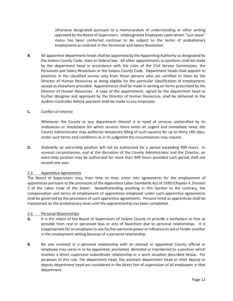otherwise designated pursuant to a memorandum of understanding or other writing approved by the Board of Supervisors. Undesignated Employees upon whom "just cause" status has been conferred continue to be subject to the terms of probationary employment as outlined in this Personnel and Salary Resolution.

**B.** All appointive department heads shall be appointed by the Appointing Authority as designated by the Solano County Code, state or federal law. All other appointments to positions shall be made by the department head in accordance with the rules of the Civil Service Commission, the Personnel and Salary Resolution or the Solano County Code. Department heads shall appoint to positions in the classified service only from those persons who are certified to them by the Director of Human Resources as being eligible for the particular classification of employment, except as elsewhere provided. Appointments shall be made in writing on forms prescribed by the Director of Human Resources. A copy of the appointment, signed by the department head or his/her designee and approved by the Director of Human Resources, shall be delivered to the Auditor-Controller before payment shall be made to any employee.

#### **C.** Conflict of Interest

Whenever the County or any department thereof is in need of services unclassified by its ordinances or resolutions for which services there exists an urgent and immediate need, the County Administrator may authorize temporary filling of such vacancy for up to thirty (30) days, under such terms and conditions as in its judgment the circumstances may require.

**D.** Ordinarily an extra-help position will not be authorized for a period exceeding 999 hours. In unusual circumstances, and at the discretion of the County Administrator and the Director, an extra-help position may be authorized for more than 999 hours provided such period shall not exceed one year.

#### <span id="page-11-0"></span>2.3 Apprentice Agreements

The Board of Supervisors may, from time to time, enter into agreements for the employment of apprentices pursuant to the provisions of the Apprentice Labor Standards Act of 1939 (Chapter 4, Division 3 of the Labor Code of the State). Notwithstanding anything in this Section to the contrary, the compensation and terms of employment of apprentices employed under such apprentice agreements shall be governed by the provisions of such apprentice agreements. Persons hired as apprentices shall be maintained on the probationary level until the apprenticeship has been completed.

#### <span id="page-11-1"></span>2.4 Personal Relationships

- **A.** It is the intent of the Board of Supervisors of Solano County to provide a workplace as free as possible from real or perceived bias or acts of favoritism due to personal relationships. It is inappropriate for an employee to use his/her personal power or influence to aid or hinder another in the employment setting because of a personal relationship.
- **B.** No one involved in a personal relationship with an elected or appointed County official or employee may serve in or be appointed, promoted, demoted or transferred to a position which involves a direct supervisor-subordinate relationship or a work situation described below. For purposes of this rule, the department head, the assistant department head or chief deputy or deputy department head are considered in the direct line of supervision of all employees in that department.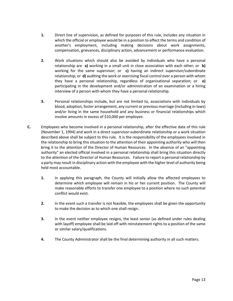- **1.** Direct line of supervision, as defined for purposes of this rule, includes any situation in which the official or employee would be in a position to effect the terms and condition of another's employment, including making decisions about work assignments, compensation, grievances, disciplinary action, advancement or performance evaluation.
- **2.** Work situations which should also be avoided by individuals who have a personal relationship are **a)** working in a small unit in close association with each other; or **b)** working for the same supervisor; or **c)** having an indirect supervisor/subordinate relationship; or **d)** auditing the work or exercising fiscal control over a person with whom they have a personal relationship, regardless of organizational separation; or **e)** participating in the development and/or administration of an examination or a hiring interview of a person with whom they have a personal relationship.
- **3.** Personal relationships include, but are not limited to, associations with individuals by blood, adoption, foster arrangement, any current or previous marriage (including in-laws) and/or living in the same household and any business or financial relationships which involve amounts in excess of \$10,000 per employee.
- **C.** Employees who become involved in a personal relationship, after the effective date of this rule (November 1, 1994) and work in a direct supervisor-subordinate relationship or a work situation described above shall be subject to this rule. It is the responsibility of the employees involved in the relationship to bring this situation to the attention of their appointing authority who will then bring it to the attention of the Director of Human Resources. In the absence of an "appointing authority" an elected official involved in a personal relationship shall bring this situation directly to the attention of the Director of Human Resources. Failure to report a personal relationship by a party may result in disciplinary action with the employee with the higher level of authority being held most accountable.
	- **1.** In applying this paragraph, the County will initially allow the affected employees to determine which employee will remain in his or her current position. The County will make reasonable efforts to transfer one employee to a position where no such potential conflict would exist.
	- **2.** In the event such a transfer is not feasible, the employees shall be given the opportunity to make the decision as to which one shall resign.
	- **3.** In the event neither employee resigns, the least senior (as defined under rules dealing with layoff) employee shall be laid off with reinstatement rights to a position of the same or similar salary/qualifications.
	- **4.** The County Administrator shall be the final determining authority in all such matters.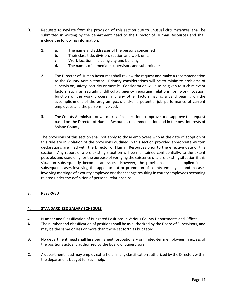- **D.** Requests to deviate from the provision of this section due to unusual circumstances, shall be submitted in writing by the department head to the Director of Human Resources and shall include the following information:
	- **1. a.** The name and addresses of the persons concerned
		- **b.** Their class title, division, section and work units
		- **c.** Work location, including city and building
		- **d.** The names of immediate supervisors and subordinates
	- **2.** The Director of Human Resources shall review the request and make a recommendation to the County Administrator. Primary considerations will be to minimize problems of supervision, safety, security or morale. Consideration will also be given to such relevant factors such as recruiting difficulty, agency reporting relationships, work location, function of the work process, and any other factors having a valid bearing on the accomplishment of the program goals and/or a potential job performance of current employees and the persons involved.
	- **3.** The County Administrator will make a final decision to approve or disapprove the request based on the Director of Human Resources recommendation and in the best interests of Solano County.
- **E.** The provisions of this section shall not apply to those employees who at the date of adoption of this rule are in violation of the provisions outlined in this section provided appropriate written declarations are filed with the Director of Human Resources prior to the effective date of this section. Any report of a pre-existing situation will be maintained confidentially, to the extent possible, and used only for the purpose of verifying the existence of a pre-existing situation if this situation subsequently becomes an issue. However, the provisions shall be applied in all subsequent cases involving the appointment or promotion of county employees and in cases involving marriage of a county employee or other change resulting in county employees becoming related under the definition of personal relationships.

#### <span id="page-13-0"></span>**3. RESERVED**

#### <span id="page-13-1"></span>**4. STANDARDIZED SALARY SCHEDULE**

- <span id="page-13-2"></span>4.1 Number and Classification of Budgeted Positions in Various County Departments and Offices
- **A.** The number and classification of positions shall be as authorized by the Board of Supervisors, and may be the same or less or more than those set forth as budgeted.
- **B.** No department head shall hire permanent, probationary or limited-term employees in excess of the positions actually authorized by the Board of Supervisors.
- <span id="page-13-3"></span>**C.** A department head may employ extra-help, in any classification authorized by the Director, within the department budget for such help.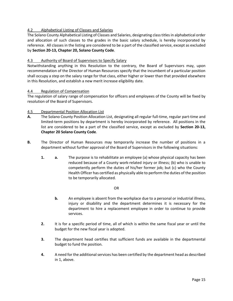#### 4.2 Alphabetical Listing of Classes and Salaries

The Solano County Alphabetical Listing of Classes and Salaries, designating class titles in alphabetical order and allocation of such classes to the grades in the basic salary schedule, is hereby incorporated by reference. All classes in the listing are considered to be a part of the classified service, except as excluded by **Section 20-13, Chapter 20, Solano County Code**.

#### <span id="page-14-0"></span>4.3 Authority of Board of Supervisors to Specify Salary

Notwithstanding anything in this Resolution to the contrary, the Board of Supervisors may, upon recommendation of the Director of Human Resources specify that the incumbent of a particular position shall occupy a step on the salary range for that class, either higher or lower than that provided elsewhere in this Resolution, and establish a new merit increase eligibility date.

#### <span id="page-14-1"></span>4.4 Regulation of Compensation

The regulation of salary range of compensation for officers and employees of the County will be fixed by resolution of the Board of Supervisors.

#### <span id="page-14-2"></span>4.5 Departmental Position Allocation List

- **A.** The Solano County Position Allocation List, designating all regular full-time, regular part-time and limited-term positions by department is hereby incorporated by reference. All positions in the list are considered to be a part of the classified service, except as excluded by **Section 20-13, Chapter 20 Solano County Code**.
- **B.** The Director of Human Resources may temporarily increase the number of positions in a department without further approval of the Board of Supervisors in the following situations:
	- **1. a.** The purpose is to rehabilitate an employee (a) whose physical capacity has been reduced because of a County work-related injury or illness; (b) who is unable to competently perform the duties of his/her former job; but (c) who the County Health Officer has certified as physically able to perform the duties of the position to be temporarily allocated.

#### OR

- **b.** An employee is absent from the workplace due to a personal or industrial illness, injury or disability and the department determines it is necessary for the department to hire a replacement employee in order to continue to provide services.
- **2.** It is for a specific period of time, all of which is within the same fiscal year or until the budget for the new fiscal year is adopted.
- **3.** The department head certifies that sufficient funds are available in the departmental budget to fund the position.
- **4.** A need for the additional services has been certified by the department head as described in 1, above.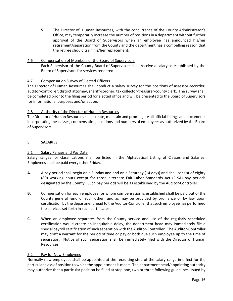**5.** The Director of Human Resources, with the concurrence of the County Administrator's Office, may temporarily increase the number of positions in a department without further approval of the Board of Supervisors when an employee has announced his/her retirement/separation from the County and the department has a compelling reason that the retiree should train his/her replacement.

#### <span id="page-15-0"></span>4.6 Compensation of Members of the Board of Supervisors Each Supervisor of the County Board of Supervisors shall receive a salary as established by the Board of Supervisors for services rendered.

#### <span id="page-15-1"></span>4.7 Compensation Survey of Elected Officers

The Director of Human Resources shall conduct a salary survey for the positions of assessor-recorder, auditor-controller, district attorney, sheriff-coroner, tax collector-treasurer-county clerk. The survey shall be completed prior to the filing period for elected office and will be presented to the Board of Supervisors for informational purposes and/or action.

#### <span id="page-15-2"></span>4.8 Authority of the Director of Human Resources

The Director of Human Resources shall create, maintain and promulgate all official listings and documents incorporating the classes, compensation, positions and numbers of employees as authorized by the Board of Supervisors.

#### <span id="page-15-3"></span>**5. SALARIES**

#### <span id="page-15-4"></span>5.1 Salary Ranges and Pay Date

Salary ranges for classifications shall be listed in the Alphabetical Listing of Classes and Salaries. Employees shall be paid every other Friday.

- **A.** A pay period shall begin on a Sunday and end on a Saturday (14 days) and shall consist of eighty (80) working hours except for those alternate Fair Labor Standards Act (FLSA) pay periods designated by the County. Such pay periods will be as established by the Auditor-Controller.
- **B.** Compensation for each employee for whom compensation is established shall be paid out of the County general fund or such other fund as may be provided by ordinance or by law upon certification by the department head to the Auditor-Controller that such employee has performed the services set forth in such certificates.
- **C.** When an employee separates from the County service and use of the regularly scheduled certification would create an inequitable delay, the department head may immediately file a special payroll certification of such separation with the Auditor-Controller. The Auditor-Controller may draft a warrant for the period of time or pay or both due such employee up to the time of separation. Notice of such separation shall be immediately filed with the Director of Human Resources.

#### <span id="page-15-5"></span>5.2 Pay for New Employees

Normally new employees shall be appointed at the recruiting step of the salary range in effect for the particular class of position to which the appointment is made. The department head/appointing authority may authorize that a particular position be filled at step one, two or three following guidelines issued by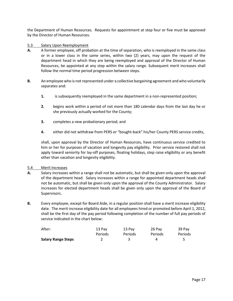the Department of Human Resources. Requests for appointment at step four or five must be approved by the Director of Human Resources.

- <span id="page-16-0"></span>5.3 Salary Upon Reemployment
- **A.** A former employee, off probation at the time of separation, who is reemployed in the same class or in a lower class in the same series, within two (2) years, may upon the request of the department head in which they are being reemployed and approval of the Director of Human Resources, be appointed at any step within the salary range. Subsequent merit increases shall follow the normal time period progression between steps.
- **B.** An employee who is not represented under a collective bargaining agreement and who voluntarily separates and:
	- **1.** is subsequently reemployed in the same department in a non-represented position;
	- **2.** begins work within a period of not more than 180 calendar days from the last day he or she previously actually worked for the County;
	- **3.** completes a new probationary period; and
	- **4.** either did not withdraw from PERS or "bought-back" his/her County PERS service credits,

shall, upon approval by the Director of Human Resources, have continuous service credited to him or her for purposes of vacation and longevity pay eligibility. Prior service restored shall not apply toward seniority for lay-off purposes, floating holidays, step raise eligibility or any benefit other than vacation and longevity eligibility.

#### <span id="page-16-1"></span>5.4 Merit Increases

- **A.** Salary increases within a range shall not be automatic, but shall be given only upon the approval of the department head. Salary increases within a range for appointed department heads shall not be automatic, but shall be given only upon the approval of the County Administrator. Salary increases for elected department heads shall be given only upon the approval of the Board of Supervisors.
- **B.** Every employee, except for Board Aide, in a regular position shall have a merit increase eligibility date. The merit increase eligibility date for all employees hired or promoted before April 1, 2012, shall be the first day of the pay period following completion of the number of full pay periods of service indicated in the chart below:

| After:                    | 13 Pav  | 13 Pav  | 26 Pav  | 39 Pay  |
|---------------------------|---------|---------|---------|---------|
|                           | Periods | Periods | Periods | Periods |
| <b>Salary Range Steps</b> |         |         | Δ       |         |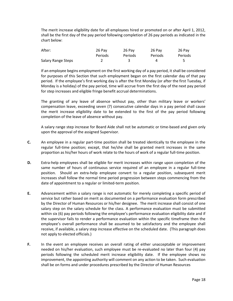The merit increase eligibility date for all employees hired or promoted on or after April 1, 2012, shall be the first day of the pay period following completion of 26 pay periods as indicated in the chart below:

| After:             | 26 Pav  | 26 Pav  | 26 Pav  | 26 Pay  |
|--------------------|---------|---------|---------|---------|
|                    | Periods | Periods | Periods | Periods |
| Salary Range Steps |         |         | Δ       |         |

If an employee begins employment on the first working day of a pay period, it shall be considered for purposes of this Section that such employment began on the first calendar day of that pay period. If the employee's first working day is after the first Monday (or after the first Tuesday, if Monday is a holiday) of the pay period, time will accrue from the first day of the next pay period for step increases and eligible fringe benefit accrual determinations.

The granting of any leave of absence without pay, other than military leave or workers' compensation leave, exceeding seven (7) consecutive calendar days in a pay period shall cause the merit increase eligibility date to be extended to the first of the pay period following completion of the leave of absence without pay.

A salary range step increase for Board Aide shall not be automatic or time-based and given only upon the approval of the assigned Supervisor.

- **C.** An employee in a regular part-time position shall be treated identically to the employee in the regular full-time position; except, that he/she shall be granted merit increases in the same proportion as his/her hours of work relate to the hours of work of a regular full-time position.
- **D.** Extra-help employees shall be eligible for merit increases within range upon completion of the same number of hours of continuous service required of an employee in a regular full-time position. Should an extra-help employee convert to a regular position, subsequent merit increases shall follow the normal time period progression between steps commencing from the date of appointment to a regular or limited-term position.
- **E.** Advancement within a salary range is not automatic for merely completing a specific period of service but rather based on merit as documented on a performance evaluation form prescribed by the Director of Human Resources or his/her designee. The merit increase shall consist of one salary step on the salary schedule for the class. A performance evaluation must be submitted within six (6) pay periods following the employee's performance evaluation eligibility date and if the supervisor fails to render a performance evaluation within the specific timeframe then the employee's overall performance shall be assumed to be satisfactory and the employee shall receive, if available, a salary step increase effective on the scheduled date. (This paragraph does not apply to elected officials.)
- **F.** In the event an employee receives an overall rating of either unacceptable or improvement needed on his/her evaluation, such employee must be re-evaluated no later than four (4) pay periods following the scheduled merit increase eligibility date. If the employee shows no improvement, the appointing authority will comment on any action to be taken. Such evaluation shall be on forms and under procedures prescribed by the Director of Human Resources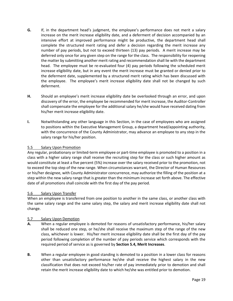- **G.** If, in the department head's judgment, the employee's performance does not merit a salary increase on the merit increase eligibility date, and a deferment of decision accompanied by an intensive effort at improved performance might be productive, the department head shall complete the structured merit rating and defer a decision regarding the merit increase any number of pay periods, but not to exceed thirteen (13) pay periods. A merit increase may be deferred only once for any given step on the range for the class. The responsibility for reopening the matter by submitting another merit rating and recommendation shall lie with the department head. The employee must be re-evaluated four (4) pay periods following the scheduled merit increase eligibility date, but in any event the merit increase must be granted or denied prior to the deferment date, supplemented by a structured merit rating which has been discussed with the employee. The employee's merit increase eligibility date shall not be changed by such deferment.
- **H.** Should an employee's merit increase eligibility date be overlooked through an error, and upon discovery of the error, the employee be recommended for merit increase, the Auditor-Controller shall compensate the employee for the additional salary he/she would have received dating from his/her merit increase eligibility date.
- **I.** Notwithstanding any other language in this Section, in the case of employees who are assigned to positions within the Executive Management Group, a department head/appointing authority, with the concurrence of the County Administrator, may advance an employee to any step in the salary range for his/her position.

#### <span id="page-18-0"></span>5.5 Salary Upon Promotion

Any regular, probationary or limited-term employee or part-time employee is promoted to a position in a class with a higher salary range shall receive the recruiting step for the class or such higher amount as would constitute at least a five percent (5%) increase over the salary received prior to the promotion, not to exceed the top step of the new range. When circumstances warrant, the Director of Human Resources or his/her designee, with County Administrator concurrence, may authorize the filling of the position at a step within the new salary range that is greater than the minimum increase set forth above. The effective date of all promotions shall coincide with the first day of the pay period.

#### <span id="page-18-1"></span>5.6 Salary Upon Transfer

When an employee is transferred from one position to another in the same class, or another class with the same salary range and the same salary step, the salary and merit increase eligibility date shall not change.

#### <span id="page-18-2"></span>5.7 Salary Upon Demotion

- **A.** When a regular employee is demoted for reasons of unsatisfactory performance, his/her salary shall be reduced one step, or he/she shall receive the maximum step of the range of the new class, whichever is lower. His/her merit increase eligibility date shall be the first day of the pay period following completion of the number of pay periods service which corresponds with the required period of service as is governed by **Section 5.4, Merit Increases**.
- **B.** When a regular employee in good standing is demoted to a position in a lower class for reasons other than unsatisfactory performance he/she shall receive the highest salary in the new classification that does not exceed his/her rate of pay immediately prior to demotion and shall retain the merit increase eligibility date to which he/she was entitled prior to demotion.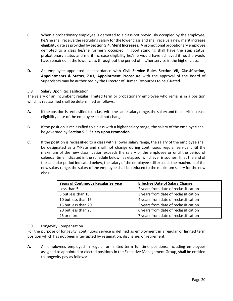- **C.** When a probationary employee is demoted to a class not previously occupied by the employee, he/she shall receive the recruiting salary for the lower class and shall receive a new merit increase eligibility date as provided by **Section 5.4, Merit Increases**. A promotional probationary employee demoted to a class he/she formerly occupied in good standing shall have the step status, probationary status and merit increase eligibility he/she would have achieved if he/she would have remained in the lower class throughout the period of his/her service in the higher class.
- **D.** An employee appointed in accordance with **Civil Service Rules Section VII, Classification, Appointments & Status, 7.03, Appointment Procedure** with the approval of the Board of Supervisors may be authorized by the Director of Human Resources to be Y-Rated.

#### <span id="page-19-0"></span>5.8 Salary Upon Reclassification

The salary of an incumbent regular, limited term or probationary employee who remains in a position which is reclassified shall be determined as follows:

- **A.** If the position is reclassified to a class with the same salary range, the salary and the merit increase eligibility date of the employee shall not change.
- **B.** If the position is reclassified to a class with a higher salary range, the salary of the employee shall be governed by **Section 5.5, Salary upon Promotion**.
- **C.** If the position is reclassified to a class with a lower salary range, the salary of the employee shall be designated as a Y-Rate and shall not change during continuous regular service until the maximum of the new classification exceeds the salary of the employee or until the period of calendar time indicated in the schedule below has elapsed, whichever is sooner. If, at the end of the calendar period indicated below, the salary of the employee still exceeds the maximum of the new salary range, the salary of the employee shall be reduced to the maximum salary for the new class.

| <b>Years of Continuous Regular Service</b> | <b>Effective Date of Salary Change</b> |
|--------------------------------------------|----------------------------------------|
| Less than 5                                | 2 years from date of reclassification  |
| 5 but less than 10                         | 3 years from date of reclassification  |
| 10 but less than 15                        | 4 years from date of reclassification  |
| 15 but less than 20                        | 5 years from date of reclassification  |
| 20 but less than 25                        | 6 years from date of reclassification  |
| 25 or more                                 | 7 years from date of reclassification  |

#### <span id="page-19-1"></span>5.9 Longevity Compensation

For the purpose of longevity, continuous service is defined as employment in a regular or limited term position which has not been interrupted by resignation, discharge, or retirement.

**A.** All employees employed in regular or limited-term full-time positions, including employees assigned to appointed or elected positions in the Executive Management Group, shall be entitled to longevity pay as follows: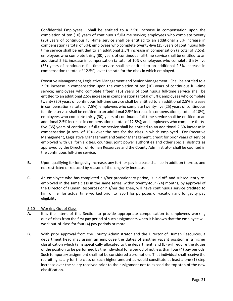Confidential Employees: Shall be entitled to a 2.5% increase in compensation upon the completion of ten (10) years of continuous full-time service; employees who complete twenty (20) years of continuous full-time service shall be entitled to an additional 2.5% increase in compensation (a total of 5%); employees who complete twenty-five (25) years of continuous fulltime service shall be entitled to an additional 2.5% increase in compensation (a total of 7.5%); employees who complete thirty (30) years of continuous full-time service shall be entitled to an additional 2.5% increase in compensation (a total of 10%); employees who complete thirty-five (35) years of continuous full-time service shall be entitled to an additional 2.5% increase in compensation (a total of 12.5%) over the rate for the class in which employed.

Executive Management, Legislative Management and Senior Management: Shall be entitled to a 2.5% increase in compensation upon the completion of ten (10) years of continuous full-time service; employees who complete fifteen (15) years of continuous full-time service shall be entitled to an additional 2.5% increase in compensation (a total of 5%); employees who complete twenty (20) years of continuous full-time service shall be entitled to an additional 2.5% increase in compensation (a total of 7.5%); employees who complete twenty-five (25) years of continuous full-time service shall be entitled to an additional 2.5% increase in compensation (a total of 10%); employees who complete thirty (30) years of continuous full-time service shall be entitled to an additional 2.5% increase in compensation (a total of 12.5%); and employees who complete thirtyfive (35) years of continuous full-time service shall be entitled to an additional 2.5% increase in compensation (a total of 15%) over the rate for the class in which employed. For Executive Management, Legislative Management and Senior Management, credit for prior years of service employed with California cities, counties, joint power authorities and other special districts as approved by the Director of Human Resources and the County Administrator shall be counted in the continuous full-time service.

- **B.** Upon qualifying for longevity increase, any further pay increase shall be in addition thereto, and not restricted or reduced by reason of the longevity increase.
- **C.** An employee who has completed his/her probationary period, is laid off, and subsequently reemployed in the same class in the same series, within twenty-four (24) months, by approval of the Director of Human Resources or his/her designee, will have continuous service credited to him or her for actual time worked prior to layoff for purposes of vacation and longevity pay eligibility.

#### <span id="page-20-0"></span>5.10 Working Out of Class

- **A.** It is the intent of this Section to provide appropriate compensation to employees working out-of-class from the first pay period of such assignments when it is known that the employee will work out-of-class for four (4) pay periods or more.
- **B.** With prior approval from the County Administrator and the Director of Human Resources, a department head may assign an employee the duties of another vacant position in a higher classification which (a) is specifically allocated to the department, and (b) will require the duties of the position to be performed by the individual for a period of not less than four (4) pay periods. Such temporary assignment shall not be considered a promotion. That individual shall receive the recruiting salary for the class or such higher amount as would constitute at least a one (1) step increase over the salary received prior to the assignment not to exceed the top step of the new classification.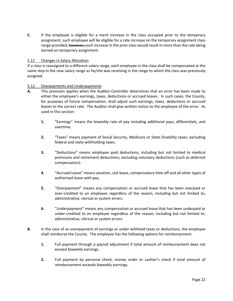**C.** If the employee is eligible for a merit increase in the class occupied prior to the temporary assignment, such employee will be eligible for a rate increase on the temporary assignment class range provided; however, such increase in the prior class would result in more than the rate being earned on temporary assignment.

#### <span id="page-21-0"></span>5.11 Changes in Salary Allocation

If a class is reassigned to a different salary range, each employee in the class shall be compensated at the same step in the new salary range as he/she was receiving in the range to which the class was previously assigned.

#### <span id="page-21-1"></span>5.12 Overpayments and Underpayments

- **A.** This provision applies when the Auditor-Controller determines that an error has been made to either the employee's earnings, taxes, deductions or accrued leaves. In such cases, the County, for purposes of future compensation, shall adjust such earnings, taxes, deductions or accrued leaves to the correct rate. The Auditor shall give written notice to the employee of the error. As used in this section:
	- **1.** "Earnings" means the biweekly rate of pay including additional pays, differentials, and overtime.
	- **2.** "Taxes" means payment of Social Security, Medicare or State Disability taxes; excluding federal and state withholding taxes.
	- **3.** "Deductions" means employee paid deductions, including but not limited to medical premiums and retirement deductions; excluding voluntary deductions (such as deferred compensation).
	- **4.** "Accrued Leave" means vacation, sick leave, compensatory time off and all other types of authorized leave with pay.
	- **5.** "Overpayment" means any compensation or accrued leave that has been overpaid or over-credited to an employee regardless of the reason, including but not limited to, administrative, clerical or system errors.
	- **6.** "Underpayment" means any compensation or accrued leave that has been underpaid or under-credited to an employee regardless of the reason, including but not limited to, administrative, clerical or system errors.
- **B.** In the case of an overpayment of earnings or under withheld taxes or deductions, the employee shall reimburse the County. The employee has the following options for reimbursement:
	- **1.** Full payment through a payroll adjustment if total amount of reimbursement does not exceed biweekly earnings.
	- **2.** Full payment by personal check, money order or cashier's check if total amount of reimbursement exceeds biweekly earnings.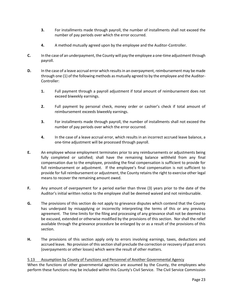- **3.** For installments made through payroll, the number of installments shall not exceed the number of pay periods over which the error occurred.
- **4.** A method mutually agreed upon by the employee and the Auditor-Controller.
- **C.** In the case of an underpayment, the County will pay the employee a one-time adjustment through payroll.
- **D.** In the case of a leave accrual error which results in an overpayment, reimbursement may be made through one (1) of the following methods as mutually agreed to by the employee and the Auditor-Controller:
	- **1.** Full payment through a payroll adjustment if total amount of reimbursement does not exceed biweekly earnings.
	- **2.** Full payment by personal check, money order or cashier's check if total amount of reimbursement exceeds biweekly earnings.
	- **3.** For installments made through payroll, the number of installments shall not exceed the number of pay periods over which the error occurred.
	- **4.** In the case of a leave accrual error, which results in an incorrect accrued leave balance, a one-time adjustment will be processed through payroll.
- **E.** An employee whose employment terminates prior to any reimbursements or adjustments being fully completed or satisfied; shall have the remaining balance withheld from any final compensation due to the employee, providing the final compensation is sufficient to provide for full reimbursement or adjustment. If the employee's final compensation is not sufficient to provide for full reimbursement or adjustment, the County retains the right to exercise other legal means to recover the remaining amount owed.
- **F.** Any amount of overpayment for a period earlier than three (3) years prior to the date of the Auditor's initial written notice to the employee shall be deemed waived and not reimbursable.
- **G.** The provisions of this section do not apply to grievance disputes which contend that the County has underpaid by misapplying or incorrectly interpreting the terms of this or any previous agreement. The time limits for the filing and processing of any grievance shall not be deemed to be excused, extended or otherwise modified by the provisions of this section. Nor shall the relief available through the grievance procedure be enlarged by or as a result of the provisions of this section.
- **H.** The provisions of this section apply only to errors involving earnings, taxes, deductions and accrued leave. No provision of this section shall preclude the correction or recovery of past errors (overpayments or other losses) which were the result of other matters.

#### <span id="page-22-0"></span>5.13 Assumption by County of Functions and Personnel of Another Governmental Agency

When the functions of other governmental agencies are assumed by the County, the employees who perform these functions may be included within this County's Civil Service. The Civil Service Commission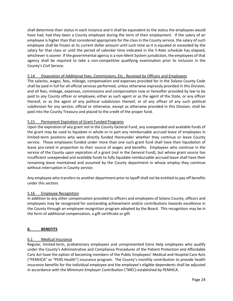shall determine their status in each instance and it shall be equivalent to the status the employees would have had, had they been a County employee during the term of their employment. If the salary of an employee is higher than that considered appropriate for the class in the County service, the salary of such employee shall be frozen at its current dollar amount until such time as it is equaled or exceeded by the salary for that class or until the period of calendar time indicated in the Y-Rate schedule has elapsed, whichever is sooner. If the governmental agency is a non-Merit System jurisdiction, the employees of that agency shall be required to take a non-competitive qualifying examination prior to inclusion in the County's Civil Service.

#### <span id="page-23-0"></span>5.14 Disposition of Additional Fees, Commissions, Etc., Received by Officers and Employees

The salaries, wages, fees, mileage, compensation and expenses provided for in the Solano County Code shall be paid in full for all official services performed, unless otherwise expressly provided in this Division, and all fees, mileage, expenses, commissions and compensation now or hereafter provided by law to be paid to any County officer or employee, either as such agent or as the agent of the State, or any officer thereof, or as the agent of any political subdivision thereof, or of any officer of any such political subdivision for any service, official or otherwise, except as otherwise provided in this Division, shall be paid into the County Treasury and placed to the credit of the proper fund.

#### <span id="page-23-1"></span>5.15 Permanent Expiration of Grant Funded Programs

Upon the expiration of any grant not in the County General Fund, any unexpended and available funds of the grant may be used to liquidate in whole or in part any reimbursable accrued leave of employees in limited-term positions who were directly funded thereunder whether they continue or leave County service. Those employees funded under more than one such grant fund shall have their liquidation of leave pro-rated in proportion to their source of wages and benefits. Employees who continue in the service of the County upon expiration of a grant (not in the General Fund), but whose grant source has insufficient unexpended and available funds to fully liquidate reimbursable accrued leave shall have their remaining leave maintained and assumed by the County department in whose employ they continue without interruption in County service.

Any employee who transfers to another department prior to layoff shall not be entitled to pay off benefits under this section.

#### <span id="page-23-2"></span>5.16 Employee Recognition

In addition to any other compensation provided to officers and employees of Solano County, officers and employees may be recognized for outstanding achievement and/or contributions towards excellence in the County through an employee recognition program adopted by the Board. This recognition may be in the form of additional compensation, a gift certificate or gift.

#### <span id="page-23-3"></span>**6. BENEFITS**

#### <span id="page-23-4"></span>6.1 Medical Insurance

Regular, limited-term, probationary employees and unrepresented Extra Help employees who qualify under the County's Administrative and Compliance Procedures of the Patient Protection and Affordable Care Act have the option of becoming members of the Public Employees' Medical and Hospital Care Acts ("PEMHCA" or "PERS Health") insurance program. The County's monthly contribution to provide health insurance benefits for the individual employee and the employee's eligible dependents shall be adjusted in accordance with the Minimum Employer Contribution ("MEC) established by PEMHCA.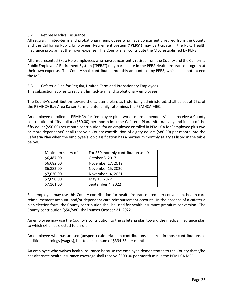#### <span id="page-24-0"></span>6.2 Retiree Medical Insurance

All regular, limited-term and probationary employees who have concurrently retired from the County and the California Public Employees' Retirement System ("PERS") may participate in the PERS Health Insurance program at their own expense. The County shall contribute the MEC established by PERS.

All unrepresented Extra Help employees who have concurrently retired from the County and the California Public Employees' Retirement System ("PERS") may participate in the PERS Health Insurance program at their own expense. The County shall contribute a monthly amount, set by PERS, which shall not exceed the MEC.

#### <span id="page-24-1"></span>6.3.1 Cafeteria Plan for Regular, Limited-Term and Probationary Employees This subsection applies to regular, limited-term and probationary employees.

The County's contribution toward the cafeteria plan, as historically administered, shall be set at 75% of the PEMHCA Bay Area Kaiser Permanente family rate minus the PEMHCA MEC.

An employee enrolled in PEMHCA for "employee plus two or more dependents" shall receive a County contribution of fifty dollars (\$50.00) per month into the Cafeteria Plan. Alternatively and in lieu of the fifty dollar (\$50.00) per month contribution, for an employee enrolled in PEMHCA for "employee plus two or more dependents" shall receive a County contribution of eighty dollars (\$80.00) per month into the Cafeteria Plan when the employee's job classification has a maximum monthly salary as listed in the table below.

| Maximum salary of: | For \$80 monthly contribution as of: |
|--------------------|--------------------------------------|
| \$6,487.00         | October 8, 2017                      |
| \$6,682.00         | November 17, 2019                    |
| \$6,882.00         | November 15, 2020                    |
| \$7,020.00         | November 14, 2021                    |
| \$7,090.00         | May 15, 2022                         |
| \$7,161.00         | September 4, 2022                    |

Said employee may use this County contribution for health insurance premium conversion, health care reimbursement account, and/or dependent care reimbursement account. In the absence of a cafeteria plan election form, the County contribution shall be used for health insurance premium conversion. The County contribution (\$50/\$80) shall sunset October 21, 2022.

An employee may use the County's contribution to the cafeteria plan toward the medical insurance plan to which s/he has elected to enroll.

An employee who has unused (unspent) cafeteria plan contributions shall retain those contributions as additional earnings (wages), but to a maximum of \$334.58 per month.

An employee who waives health insurance because the employee demonstrates to the County that s/he has alternate health insurance coverage shall receive \$500.00 per month minus the PEMHCA MEC.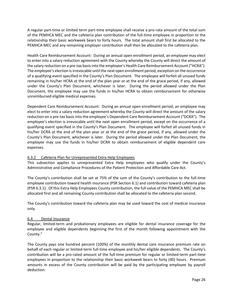A regular part-time or limited term part-time employee shall receive a pro-rata amount of the total sum of the PEMHCA MEC and the cafeteria plan contribution of the full-time employee in proportion to the relationship their basic workweek bears to forty hours. The total amount shall first be allocated to the PEMHCA MEC and any remaining employer contribution shall then be allocated to the cafeteria plan.

Health Care Reimbursement Account: During an annual open enrollment period, an employee may elect to enter into a salary reduction agreement with the County whereby the County will direct the amount of the salary reduction on a pre-tax basis into the employee's Health Care Reimbursement Account ("HCRA"). The employee's election is irrevocable until the next open enrollment period, exception on the occurrence of a qualifying event specified in the County's Plan Document. The employee will forfeit all unused funds remaining in his/her HCRA at the end of the plan year or at the end of the grace period, if any, allowed under the County's Plan Document, whichever is later. During the period allowed under the Plan Document, the employee may use the funds in his/her HCRA to obtain reimbursement for otherwise unreimbursed eligible medical expenses.

Dependent Care Reimbursement Account: During an annual open enrollment period, an employee may elect to enter into a salary reduction agreement whereby the County will direct the amount of the salary reduction on a pre-tax basis into the employee's Dependent Care Reimbursement Account ("DCRA"). The employee's election is irrevocable until the next open enrollment period, except on the occurrence of a qualifying event specified in the County's Plan Document. The employee will forfeit all unused funds in his/her DCRA at the end of the plan year or at the end of the grace period, if any, allowed under the County's Plan Document, whichever is later. During the period allowed under the Plan Document, the employee may use the funds in his/her DCRA to obtain reimbursement of eligible dependent care expenses.

#### <span id="page-25-0"></span>6.3.2 Cafeteria Plan for Unrepresented Extra Help Employees

This subsection applies to unrepresented Extra Help employees who qualify under the County's Administrative and Compliance Procedures of the Patient Protection and Affordable Care Act.

The County's contribution shall be set at 75% of the sum of the County's contribution to the full-time employee contribution toward health insurance (PSR Section 6.1) and contribution toward cafeteria plan (PSR 6.3.1). Of this Extra Help Employees County contribution, the full value of the PEMHCA MEC shall be allocated first and all remaining County contribution shall be allocated to the cafeteria plan second.

The County's contribution toward the cafeteria plan may be used toward the cost of medical insurance only.

#### <span id="page-25-1"></span>6.4 Dental Insurance

Regular, limited-term and probationary employees are eligible for dental insurance coverage for the employee and eligible dependents beginning the first of the month following appointment with the County."

The County pays one hundred percent (100%) of the monthly dental care insurance premium rate on behalf of each regular or limited-term full-time employee and his/her eligible dependents. The County's contribution will be a pro-rated amount of the full-time premium for regular or limited-term part-time employees in proportion to the relationship their basic workweek bears to forty (40) hours. Premium amounts in excess of the County contribution will be paid by the participating employee by payroll deduction.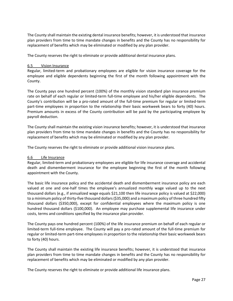The County shall maintain the existing dental insurance benefits; however, it is understood that insurance plan providers from time to time mandate changes in benefits and the County has no responsibility for replacement of benefits which may be eliminated or modified by any plan provider.

The County reserves the right to eliminate or provide additional dental insurance plans.

#### <span id="page-26-0"></span>6.5 Vision Insurance

Regular, limited-term and probationary employees are eligible for vision insurance coverage for the employee and eligible dependents beginning the first of the month following appointment with the County.

The County pays one hundred percent (100%) of the monthly vision standard plan insurance premium rate on behalf of each regular or limited-term full-time employee and his/her eligible dependents. The County's contribution will be a pro-rated amount of the full-time premium for regular or limited-term part-time employees in proportion to the relationship their basic workweek bears to forty (40) hours. Premium amounts in excess of the County contribution will be paid by the participating employee by payroll deduction.

The County shall maintain the existing vision insurance benefits; however, it is understood that insurance plan providers from time to time mandate changes in benefits and the County has no responsibility for replacement of benefits which may be eliminated or modified by any plan provider.

The County reserves the right to eliminate or provide additional vision insurance plans.

#### <span id="page-26-1"></span>6.6 Life Insurance

Regular, limited-term and probationary employees are eligible for life insurance coverage and accidental death and dismemberment insurance for the employee beginning the first of the month following appointment with the County.

The basic life insurance policy and the accidental death and dismemberment insurance policy are each valued at one and one-half times the employee's annualized monthly wage valued up to the next thousand dollars (e.g., if annualized wage equals \$21,100 then life insurance policy is valued at \$22,000) to a minimum policy of thirty-five thousand dollars (\$35,000) and a maximum policy of three hundred fifty thousand dollars (\$350,000), except for confidential employees where the maximum policy is one hundred thousand dollars (\$100,000). An employee may purchase supplemental life insurance under costs, terms and conditions specified by the insurance plan provider.

The County pays one hundred percent (100%) of the life insurance premium on behalf of each regular or limited-term full-time employee. The County will pay a pro-rated amount of the full-time premium for regular or limited-term part-time employees in proportion to the relationship their basic workweek bears to forty (40) hours.

The County shall maintain the existing life insurance benefits; however, it is understood that insurance plan providers from time to time mandate changes in benefits and the County has no responsibility for replacement of benefits which may be eliminated or modified by any plan provider.

The County reserves the right to eliminate or provide additional life insurance plans.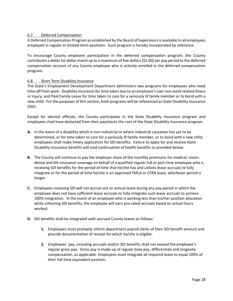#### <span id="page-27-0"></span>6.7 Deferred Compensation

A Deferred Compensation Program as established by the Board of Supervisors is available to all employees employed in regular or limited-term positions. Such program is hereby incorporated by reference.

To encourage County employee participation in the deferred compensation program, the County contributes a dollar for dollar match up to a maximum of five dollars (\$5.00) per pay period to the deferred compensation account of any County employee who is actively enrolled in the deferred compensation program.

#### <span id="page-27-1"></span>6.8 Short Term Disability Insurance

The State's Employment Development Department administers two programs for employees who need time off from work. Disability Insurance for time taken due to an employee's own non-work related illness or injury, and Paid Family Leave for time taken to care for a seriously ill family member or to bond with a new child. For the purposes of this section, both programs will be referenced as State Disability Insurance (SDI).

Except for elected officials, the County participates in the State Disability Insurance program and employees shall have deducted from their paychecks the cost of the State Disability Insurance program.

- **A.** In the event of a disability which is non-industrial or where industrial causation has yet to be determined, or for time taken to care for a seriously ill family member, or to bond with a new child, employees shall make timely application for SDI benefits. Failure to apply for and receive State Disability Insurance benefits will void continuation of health benefits as provided below.
- **B.** The County will continue to pay the employer share of the monthly premiums for medical, vision, dental and life insurance coverage on behalf of a qualified regular full or part-time employee who is receiving SDI benefits for the period of time that he/she has and utilizes leave accruals to fully integrate or for the period of time he/she is on approved FMLA or CFRA leave, whichever period is longer.
- **C.** Employees receiving SDI will not accrue sick or annual leave during any pay period in which the employee does not have sufficient leave accruals to fully integrate such leave accruals to achieve 100% integration. In the event of an employee who is working less than his/her position allocation while collecting SDI benefits, the employee will earn pro-rated accruals based on actual hours worked.
- **D.** SDI benefits shall be integrated with accrued County leaves as follows:
	- **1.** Employees must promptly inform department payroll clerks of their SDI benefit amount and provide documentation of receipt for which he/she is eligible.
	- **2.** Employees' pay, including accruals and/or SDI benefits shall not exceed the employee's regular gross pay. Gross pay is made up of regular base pay, differentials and longevity compensation, as applicable. Employees must integrate all required leave to equal 100% of their full-time equivalent position.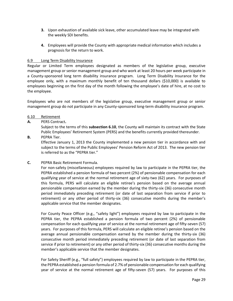- **3.** Upon exhaustion of available sick leave, other accumulated leave may be integrated with the weekly SDI benefits.
- **4.** Employees will provide the County with appropriate medical information which includes a prognosis for the return to work.

#### <span id="page-28-0"></span>6.9 Long Term Disability Insurance

Regular or Limited Term employees designated as members of the legislative group, executive management group or senior management group and who work at least 20 hours per week participate in a County-sponsored long term disability insurance program. Long Term Disability Insurance for the employee only, with a maximum monthly benefit of ten thousand dollars (\$10,000) is available to employees beginning on the first day of the month following the employee's date of hire, at no cost to the employee.

Employees who are not members of the legislative group, executive management group or senior management group do not participate in any County-sponsored long-term disability insurance program.

#### <span id="page-28-1"></span>6.10 Retirement

#### **A.** PERS Contract**.**

Subject to the terms of this **subsection 6.10**, the County will maintain its contract with the State Public Employees' Retirement System (PERS) and the benefits currently provided thereunder.

**B.** PEPRA Tier.

Effective January 1, 2013 the County implemented a new pension tier in accordance with and subject to the terms of the Public Employees' Pension Reform Act of 2013. The new pension tier is referred to as the "PEPRA tier."

**C.** PEPRA Basic Retirement Formula.

For non-safety (miscellaneous) employees required by law to participate in the PEPRA tier, the PEPRA established a pension formula of two percent (2%) of pensionable compensation for each qualifying year of service at the normal retirement age of sixty-two (62) years. For purposes of this formula, PERS will calculate an eligible retiree's pension based on the average annual pensionable compensation earned by the member during the thirty-six (36) consecutive month period immediately preceding retirement (or date of last separation from service if prior to retirement) or any other period of thirty-six (36) consecutive months during the member's applicable service that the member designates.

For County Peace Officer (e.g., "safety light") employees required by law to participate in the PEPRA tier, the PEPRA established a pension formula of two percent (2%) of pensionable compensation for each qualifying year of service at the normal retirement age of fifty-seven (57) years. For purposes of this formula, PERS will calculate an eligible retiree's pension based on the average annual pensionable compensation earned by the member during the thirty-six (36) consecutive month period immediately preceding retirement (or date of last separation from service if prior to retirement) or any other period of thirty-six (36) consecutive months during the member's applicable service that the member designates.

For Safety Sheriff (e.g., "full safety") employees required by law to participate in the PEPRA tier, the PEPRA established a pension formula of 2.7% of pensionable compensation for each qualifying year of service at the normal retirement age of fifty-seven (57) years. For purposes of this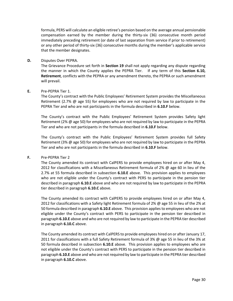formula, PERS will calculate an eligible retiree's pension based on the average annual pensionable compensation earned by the member during the thirty-six (36) consecutive month period immediately preceding retirement (or date of last separation from service if prior to retirement) or any other period of thirty-six (36) consecutive months during the member's applicable service that the member designates.

#### **D.** Disputes Over PEPRA.

The Grievance Procedure set forth in **Section 19** shall not apply regarding any dispute regarding the manner in which the County applies the PEPRA Tier. If any term of this **Section 6.10, Retirement**, conflicts with the PEPRA or any amendment thereto, the PEPRA or such amendment will prevail.

#### **E.** Pre-PEPRA Tier 1.

The County's contract with the Public Employees' Retirement System provides the Miscellaneous Retirement (2.7% @ age 55) for employees who are not required by law to participate in the PEPRA Tier and who are not participants in the formula described in **6.10.F** below.

The County's contract with the Public Employees' Retirement System provides Safety light Retirement (2% @ age 50) for employees who are not required by law to participate in the PEPRA Tier and who are not participants in the formula described in **6.10.F** below.

The County's contract with the Public Employees' Retirement System provides full Safety Retirement (3% @ age 50) for employees who are not required by law to participate in the PEPRA Tier and who are not participants in the formula described in **6.10.F** below.

#### **F.** Pre-PEPRA Tier 2

The County amended its contract with CalPERS to provide employees hired on or after May 4, 2012 for classifications with a Miscellaneous Retirement formula of 2%  $\omega$  age 60 in lieu of the 2.7% at 55 formula described in subsection **6.10.E** above. This provision applies to employees who are not eligible under the County's contract with PERS to participate in the pension tier described in paragraph **6.10.E** above and who are not required by law to participate in the PEPRA tier described in paragraph **6.10.C** above.

The County amended its contract with CalPERS to provide employees hired on or after May 4, 2012 for classifications with a Safety light Retirement formula of 2% @ age 55 in lieu of the 2% at 50 formula described in paragraph **6.10.E** above. This provision applies to employees who are not eligible under the County's contract with PERS to participate in the pension tier described in paragraph **6.10.E** above and who are not required by law to participate in the PEPRA tier described in paragraph **6.10.C** above.

The County amended its contract with CalPERS to provide employees hired on or after January 17, 2011 for classifications with a full Safety Retirement formula of 3% @ age 55 in lieu of the 3% at 50 formula described in subsection **6.10.E** above. This provision applies to employees who are not eligible under the County's contract with PERS to participate in the pension tier described in paragraph **6.10.E** above and who are not required by law to participate in the PEPRA tier described in paragraph **6.10.C** above.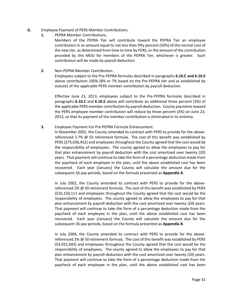- **G.** Employee Payment of PERS Member Contributions.
	- **1.** PEPRA Member Contributions**.**

Members of the PEPRA Tier will contribute toward the PEPRA Tier an employee contribution in an amount equal to not less than fifty percent (50%) of the normal cost of the new tier, as determined from time to time by PERS, or the amount of the contribution provided by this MOU for members of the PEPRA Tier, whichever is greater. Such contribution will be made by payroll deduction.

**2.** Non-PEPRA Member Contribution.

Employees subject to the Pre-PEPRA formulas described in paragraphs **6.10.C and 6.10.E** above contribution 100% (8% or 7% based on the Pre-PEPRA tier and as established by statute) of the applicable PERS member contribution by payroll deduction.

Effective June 23, 2013, employees subject to the Pre-PEPRA formulas described in paragraphs **6.10.C** and **6.10.E** above will contribute an additional three percent (3%) of the applicable PERS member contribution by payroll deduction. County payments toward the PERS employee member contribution will reduce by three percent (3%) on June 23, 2013, so that its payment of the member contribution is eliminated in its entirety.

**3.** Employee Payment For Pre-PEPRA Formula Enhancement.

In November 2002, the County amended its contract with PERS to provide for the abovereferenced 2.7% @ 55 retirement formula. The cost of this benefit was established by PERS (\$75,036,452) and employees throughout the County agreed that the cost would be the responsibility of employees. The county agreed to allow the employees to pay for that plan enhancement by payroll deduction with the cost amortized over twenty (20) years. That payment will continue to take the form of a percentage deduction made from the paycheck of each employee in the plan, until the above established cost has been recovered. Each year (January) the County will calculate the amount due for the subsequent 26 pay periods, based on the formula presented as **Appendix A**.

In July 2002, the County amended its contract with PERS to provide for the abovereferenced 2% @ 50 retirement formula. The cost of this benefit was established by PERS (\$10,150,111 and employees throughout the County agreed that the cost would be the responsibility of employees. The county agreed to allow the employees to pay for that plan enhancement by payroll deduction with the cost amortized over twenty (20) years. That payment will continue to take the form of a percentage deduction made from the paycheck of each employee in the plan, until the above established cost has been recovered. Each year (January) the County will calculate the amount due for the subsequent 26 pay periods, based on the formula presented as **Appendix B**.

In July 2004, the County amended its contract with PERS to provide for the abovereferenced 3% @ 50 retirement formula. The cost of this benefit was established by PERS (\$4,921,043) and employees throughout the County agreed that the cost would be the responsibility of employees. The county agreed to allow the employees to pay for that plan enhancement by payroll deduction with the cost amortized over twenty (20) years. That payment will continue to take the form of a percentage deduction made from the paycheck of each employee in the plan, until the above established cost has been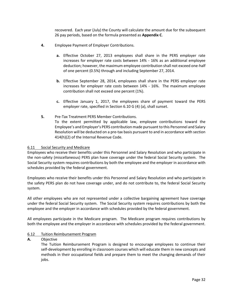recovered. Each year (July) the County will calculate the amount due for the subsequent 26 pay periods, based on the formula presented as **Appendix C**.

- **4.** Employee Payment of Employer Contributions.
	- **a.** Effective October 27, 2013 employees shall share in the PERS employer rate increases for employer rate costs between 14% - 16% as an additional employee deduction; however, the maximum employee contribution shall not exceed one-half of one percent (0.5%) through and including September 27, 2014.
	- **b.** Effective September 28, 2014, employees shall share in the PERS employer rate increases for employer rate costs between 14% - 16%. The maximum employee contribution shall not exceed one percent (1%).
	- **c.** Effective January 1, 2017, the employees share of payment toward the PERS employer rate, specified in Section 6.10 G (4) (a), shall sunset.
- **5.** Pre-Tax Treatment PERS Member Contributions. To the extent permitted by applicable law, employee contributions toward the Employee's and Employer's PERS contribution made pursuant to this Personnel and Salary Resolution will be deducted on a pre-tax basis pursuant to and in accordance with section 414(h)(2) of the Internal Revenue Code.

#### <span id="page-31-0"></span>6.11 Social Security and Medicare

Employees who receive their benefits under this Personnel and Salary Resolution and who participate in the non-safety (miscellaneous) PERS plan have coverage under the federal Social Security system. The Social Security system requires contributions by both the employee and the employer in accordance with schedules provided by the federal government.

Employees who receive their benefits under this Personnel and Salary Resolution and who participate in the safety PERS plan do not have coverage under, and do not contribute to, the federal Social Security system.

All other employees who are not represented under a collective bargaining agreement have coverage under the federal Social Security system. The Social Security system requires contributions by both the employee and the employer in accordance with schedules provided by the federal government.

All employees participate in the Medicare program. The Medicare program requires contributions by both the employee and the employer in accordance with schedules provided by the federal government.

#### <span id="page-31-1"></span>6.12 Tuition Reimbursement Program

#### **A.** Objective

The Tuition Reimbursement Program is designed to encourage employees to continue their self-development by enrolling in classroom courses which will educate them in new concepts and methods in their occupational fields and prepare them to meet the changing demands of their jobs.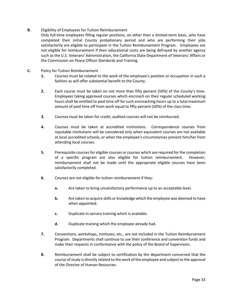#### **B.** Eligibility of Employees for Tuition Reimbursement

- Only full-time employees filling regular positions, on other than a limited-term basis, who have completed their initial County probationary period and who are performing their jobs satisfactorily are eligible to participate in the Tuition Reimbursement Program. Employees are not eligible for reimbursement if their educational costs are being defrayed by another agency such as the U.S. Veterans' Administration, the California State Department of Veterans' Affairs or the Commission on Peace Officer Standards and Training.
- **C.** Policy for Tuition Reimbursement
	- **1.** Courses must be related to the work of the employee's position or occupation in such a fashion as will offer substantial benefit to the County.
	- **2.** Each course must be taken on not more than fifty percent (50%) of the County's time. Employees taking approved courses which encroach on their regular scheduled working hours shall be entitled to paid time off for such encroaching hours up to a total maximum amount of paid time off from work equal to fifty percent (50%) of the class time.
	- **3.** Courses must be taken for credit; audited courses will not be reimbursed.
	- **4.** Courses must be taken at accredited institutions. Correspondence courses from reputable institutions will be considered only when equivalent courses are not available at local accredited schools, or when the employee's circumstances prevent him/her from attending local courses.
	- **5.** Prerequisite courses for eligible courses or courses which are required for the completion of a specific program are also eligible for tuition reimbursement. However, reimbursement shall not be made until the appropriate eligible courses have been satisfactorily completed.
	- **6.** Courses are not eligible for tuition reimbursement if they:
		- **a.** Are taken to bring unsatisfactory performance up to an acceptable level.
		- **b.** Are taken to acquire skills or knowledge which the employee was deemed to have when appointed.
		- **c.** Duplicate in-service training which is available.
		- **d.** Duplicate training which the employee already had.
	- **7.** Conventions, workshops, institutes, etc., are not included in the Tuition Reimbursement Program. Departments shall continue to use their conference and convention funds and make their requests in conformance with the policy of the Board of Supervisors.
	- **8.** Reimbursement shall be subject to certification by the department concerned that the course of study is directly related to the work of the employee and subject to the approval of the Director of Human Resources.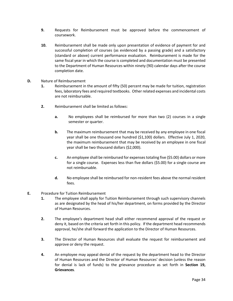- **9.** Requests for Reimbursement must be approved before the commencement of coursework.
- **10.** Reimbursement shall be made only upon presentation of evidence of payment for and successful completion of courses (as evidenced by a passing grade) and a satisfactory (standard or above) current performance evaluation. Reimbursement is made for the same fiscal year in which the course is completed and documentation must be presented to the Department of Human Resources within ninety (90) calendar days after the course completion date.
- **D.** Nature of Reimbursement
	- **1.** Reimbursement in the amount of fifty (50) percent may be made for tuition, registration fees, laboratory fees and required textbooks. Other related expenses and incidental costs are not reimbursable.
	- **2.** Reimbursement shall be limited as follows:
		- **a.** No employees shall be reimbursed for more than two (2) courses in a single semester or quarter.
		- **b.** The maximum reimbursement that may be received by any employee in one fiscal year shall be one thousand one hundred (\$1,100) dollars. Effective July 1, 2020, the maximum reimbursement that may be received by an employee in one fiscal year shall be two thousand dollars (\$2,000).
		- **c.** An employee shall be reimbursed for expenses totaling five (\$5.00) dollars or more for a single course. Expenses less than five dollars (\$5.00) for a single course are not reimbursable.
		- **d.** No employee shall be reimbursed for non-resident fees above the normal resident fees.
- **E.** Procedure for Tuition Reimbursement
	- **1.** The employee shall apply for Tuition Reimbursement through such supervisory channels as are designated by the head of his/her department, on forms provided by the Director of Human Resources.
	- **2.** The employee's department head shall either recommend approval of the request or deny it, based on the criteria set forth in this policy. If the department head recommends approval, he/she shall forward the application to the Director of Human Resources.
	- **3.** The Director of Human Resources shall evaluate the request for reimbursement and approve or deny the request.
	- **4.** An employee may appeal denial of the request by the department head to the Director of Human Resources and the Director of Human Resources' decision (unless the reason for denial is lack of funds) to the grievance procedure as set forth in **Section 19, Grievances**.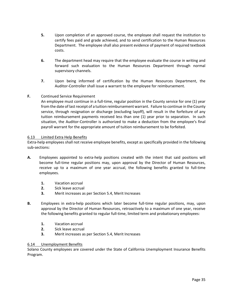- **5.** Upon completion of an approved course, the employee shall request the institution to certify fees paid and grade achieved, and to send certification to the Human Resources Department. The employee shall also present evidence of payment of required textbook costs.
- **6.** The department head may require that the employee evaluate the course in writing and forward such evaluation to the Human Resources Department through normal supervisory channels.
- **7.** Upon being informed of certification by the Human Resources Department, the Auditor-Controller shall issue a warrant to the employee for reimbursement.

#### **F.** Continued Service Requirement

An employee must continue in a full-time, regular position in the County service for one (1) year from the date of last receipt of a tuition reimbursement warrant. Failure to continue in the County service, through resignation or discharge (excluding layoff), will result in the forfeiture of any tuition reimbursement payments received less than one (1) year prior to separation. In such situation, the Auditor-Controller is authorized to make a deduction from the employee's final payroll warrant for the appropriate amount of tuition reimbursement to be forfeited.

#### <span id="page-34-0"></span>6.13 Limited Extra Help Benefits

Extra-help employees shall not receive employee benefits, except as specifically provided in the following sub-sections:

- **A.** Employees appointed to extra-help positions created with the intent that said positions will become full-time regular positions may, upon approval by the Director of Human Resources, receive up to a maximum of one year accrual, the following benefits granted to full-time employees.
	- **1.** Vacation accrual
	- **2.** Sick leave accrual
	- **3.** Merit increases as per Section 5.4, Merit Increases
- **B.** Employees in extra-help positions which later become full-time regular positions, may, upon approval by the Director of Human Resources, retroactively to a maximum of one year, receive the following benefits granted to regular full-time, limited term and probationary employees:
	- **1.** Vacation accrual
	- **2.** Sick leave accrual
	- **3.** Merit increases as per Section 5.4, Merit Increases

#### <span id="page-34-1"></span>6.14 Unemployment Benefits

Solano County employees are covered under the State of California Unemployment Insurance Benefits Program.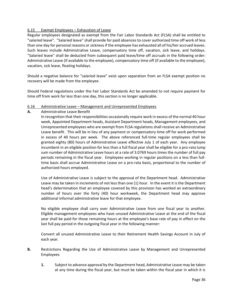#### <span id="page-35-0"></span>6.15 Exempt Employees – Exhaustion of Leave

Regular employees designated as exempt from the Fair Labor Standards Act (FLSA) shall be entitled to "salaried leave". "Salaried leave" shall provide for paid absences to cover authorized time off work of less than one day for personal reasons or sickness if the employee has exhausted all of his/her accrued leaves. Such leaves include Administrative Leave, compensatory time off, vacation, sick leave, and holidays. "Salaried leave" shall be deducted from subsequent paid leave/time off accruals in the following order: Administrative Leave (if available to the employee), compensatory time off (if available to the employee), vacation, sick leave, floating holidays.

Should a negative balance for "salaried leave" exist upon separation from an FLSA exempt position no recovery will be made from the employee.

Should Federal regulations under the Fair Labor Standards Act be amended to not require payment for time off from work for less than one day, this section is no longer applicable.

#### <span id="page-35-1"></span>6.16 Administrative Leave – Management and Unrepresented Employees

**A.** Administrative Leave Benefit

In recognition that their responsibilities occasionally require work in excess of the normal 40 hour week, Appointed Department heads, Assistant Department heads, Management employees, and Unrepresented employees who are exempt from FLSA regulations shall receive an Administrative Leave benefit. This will be in lieu of any payment or compensatory time off for work performed in excess of 40 hours per week. The above referenced full-time regular employees shall be granted eighty (80) hours of Administrative Leave effective July 1 of each year. Any employee incumbent in an eligible position for less than a full fiscal year shall be eligible for a pro-rata lump sum number of Administrative Leave hours at a rate of 3.0769 hours times the number of full pay periods remaining in the fiscal year. Employees working in regular positions on a less than fulltime basis shall accrue Administrative Leave on a pro-rata basis, proportional to the number of authorized hours employed.

Use of Administrative Leave is subject to the approval of the Department head. Administrative Leave may be taken in increments of not less than one (1) hour. In the event it is the Department head's determination that an employee covered by this provision has worked an extraordinary number of hours over the forty (40) hour workweek, the Department head may approve additional informal administrative leave for that employee.

No eligible employee shall carry over Administrative Leave from one fiscal year to another. Eligible management employees who have unused Administrative Leave at the end of the fiscal year shall be paid for those remaining hours at the employee's base rate of pay in effect on the last full pay period in the outgoing fiscal year in the following manner:

Convert all unused Administrative Leave to their Retirement Health Savings Account in July of each year.

- **B.** Restrictions Regarding the Use of Administrative Leave by Management and Unrepresented Employees
	- **1.** Subject to advance approval by the Department head, Administrative Leave may be taken at any time during the fiscal year, but must be taken within the fiscal year in which it is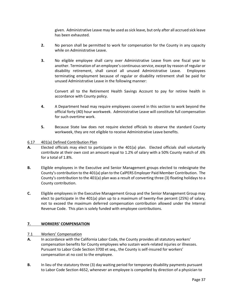given. Administrative Leave may be used as sick leave, but only after all accrued sick leave has been exhausted.

- **2.** No person shall be permitted to work for compensation for the County in any capacity while on Administrative Leave.
- **3.** No eligible employee shall carry over Administrative Leave from one fiscal year to another. Termination of an employee's continuous service, except by reason of regular or disability retirement, shall cancel all unused Administrative Leave. Employees terminating employment because of regular or disability retirement shall be paid for unused Administrative Leave in the following manner:

Convert all to the Retirement Health Savings Account to pay for retiree health in accordance with County policy.

- **4.** A Department head may require employees covered in this section to work beyond the official forty (40) hour workweek. Administrative Leave will constitute full compensation for such overtime work.
- **5.** Because State law does not require elected officials to observe the standard County workweek, they are not eligible to receive Administrative Leave benefits.

#### 6.17 401(a) Defined Contribution Plan

- **A.** Elected officials may elect to participate in the 401(a) plan. Elected officials shall voluntarily contribute at their own cost an amount equal to 1.2% of salary with a 50% County match of .6% for a total of 1.8%.
- **B.** Eligible employees in the Executive and Senior Management groups elected to redesignate the County's contribution to the 401(a) plan to the CalPERS Employer Paid Member Contribution. The County's contribution to the 401(a) plan was a result of converting three (3) floating holidays to a County contribution.
- **C.** Eligible employees in the Executive Management Group and the Senior Management Group may elect to participate in the 401(a) plan up to a maximum of twenty-five percent (25%) of salary, not to exceed the maximum deferred compensation contribution allowed under the Internal Revenue Code. This plan is solely funded with employee contributions.

## **7. WORKERS' COMPENSATION**

#### 7.1 Workers' Compensation

- **A.** In accordance with the California Labor Code, the County provides all statutory workers' compensation benefits for County employees who sustain work-related injuries or illnesses. Pursuant to Labor Code Section 3700 et seq., the County is self-insured for workers' compensation at no cost to the employee.
- **B.** In lieu of the statutory three (3) day waiting period for temporary disability payments pursuant to Labor Code Section 4652, whenever an employee is compelled by direction of a physician to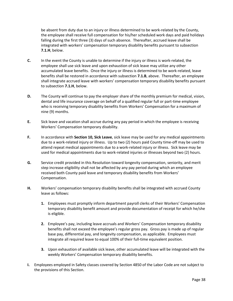be absent from duty due to an injury or illness determined to be work-related by the County, the employee shall receive full compensation for his/her scheduled work days and paid holidays falling during the first three (3) days of such absence. Thereafter, accrued leave shall be integrated with workers' compensation temporary disability benefits pursuant to subsection **7.1.H**, below.

- **C.** In the event the County is unable to determine if the injury or illness is work-related, the employee shall use sick leave and upon exhaustion of sick leave may utilize any other accumulated leave benefits. Once the injury or illness is determined to be work-related, leave benefits shall be restored in accordance with subsection **7.1.B**, above. Thereafter, an employee shall integrate accrued leave with workers' compensation temporary disability benefits pursuant to subsection **7.1.H**, below.
- **D.** The County will continue to pay the employer share of the monthly premium for medical, vision, dental and life insurance coverage on behalf of a qualified regular full or part-time employee who is receiving temporary disability benefits from Workers' Compensation for a maximum of nine (9) months.
- **E.** Sick leave and vacation shall accrue during any pay period in which the employee is receiving Workers' Compensation temporary disability.
- **F.** In accordance with **Section 10, Sick Leave**, sick leave may be used for any medical appointments due to a work-related injury or illness. Up to two (2) hours paid County time-off may be used to attend repeat medical appointments due to a work-related injury or illness. Sick leave may be used for medical appointments due to work-related injuries or illnesses beyond two (2) hours.
- **G.** Service credit provided in this Resolution toward longevity compensation, seniority, and merit step increase eligibility shall not be affected by any pay period during which an employee received both County paid leave and temporary disability benefits from Workers' Compensation.
- **H.** Workers' compensation temporary disability benefits shall be integrated with accrued County leave as follows:
	- **1.** Employees must promptly inform department payroll clerks of their Workers' Compensation temporary disability benefit amount and provide documentation of receipt for which he/she is eligible.
	- **2.** Employee's pay, including leave accruals and Workers' Compensation temporary disability benefits shall not exceed the employee's regular gross pay. Gross pay is made up of regular base pay, differential pay, and longevity compensation, as applicable. Employees must integrate all required leave to equal 100% of their full-time equivalent position.
	- **3.** Upon exhaustion of available sick leave, other accumulated leave will be integrated with the weekly Workers' Compensation temporary disability benefits.
- **I.** Employees employed in Safety classes covered by Section 4850 of the Labor Code are not subject to the provisions of this Section.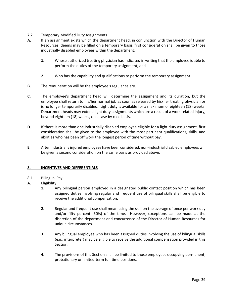# 7.2 Temporary Modified Duty Assignments

- **A.** If an assignment exists which the department head, in conjunction with the Director of Human Resources, deems may be filled on a temporary basis, first consideration shall be given to those industrially disabled employees within the department:
	- **1.** Whose authorized treating physician has indicated in writing that the employee is able to perform the duties of the temporary assignment; and
	- **2.** Who has the capability and qualifications to perform the temporary assignment.
- **B.** The remuneration will be the employee's regular salary.
- **C.** The employee's department head will determine the assignment and its duration, but the employee shall return to his/her normal job as soon as released by his/her treating physician or is no longer temporarily disabled. Light duty is available for a maximum of eighteen (18) weeks. Department heads may extend light duty assignments which are a result of a work related injury, beyond eighteen (18) weeks, on a case by case basis.
- **D.** If there is more than one industrially disabled employee eligible for a light duty assignment, first consideration shall be given to the employee with the most pertinent qualifications, skills, and abilities who has been off work the longest period of time without pay.
- **E.** After industrially injured employees have been considered, non-industrial disabled employees will be given a second consideration on the same basis as provided above.

## **8. INCENTIVES AND DIFFERENTIALS**

## 8.1 Bilingual Pay

- **A.** Eligibility
	- **1.** Any bilingual person employed in a designated public contact position which has been assigned duties involving regular and frequent use of bilingual skills shall be eligible to receive the additional compensation.
	- **2.** Regular and frequent use shall mean using the skill on the average of once per work day and/or fifty percent (50%) of the time. However, exceptions can be made at the discretion of the department and concurrence of the Director of Human Resources for unique circumstances.
	- **3.** Any bilingual employee who has been assigned duties involving the use of bilingual skills (e.g., interpreter) may be eligible to receive the additional compensation provided in this Section.
	- **4.** The provisions of this Section shall be limited to those employees occupying permanent, probationary or limited-term full-time positions.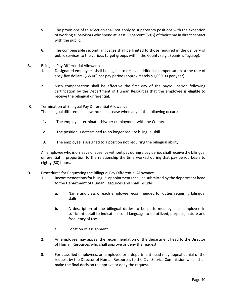- **5.** The provisions of this-Section shall not apply to supervisory positions with the exception of working supervisors who spend at least 50 percent (50%) of their time in direct contact with the public.
- **6.** The compensable second languages shall be limited to those required in the delivery of public services to the various target groups within the County (e.g., Spanish, Tagalog).
- **B.** Bilingual Pay Differential Allowance
	- **1.** Designated employees shall be eligible to receive additional compensation at the rate of sixty-five dollars (\$65.00) per pay period (approximately \$1,690.00 per year).
	- **2.** Such compensation shall be effective the first day of the payroll period following certification by the Department of Human Resources that the employee is eligible to receive the bilingual differential.
- **C.** Termination of Bilingual Pay Differential Allowance The bilingual differential allowance shall cease when any of the following occurs:
	- **1.** The employee terminates his/her employment with the County.
	- **2.** The position is determined to no longer require bilingual skill.
	- **3.** The employee is assigned to a position not requiring the bilingual ability.

An employee who is on leave of absence without pay during a pay period shall receive the bilingual differential in proportion to the relationship the time worked during that pay period bears to eighty (80) hours.

- **D.** Procedures for Requesting the Bilingual Pay Differential Allowance
	- **1.** Recommendations for bilingual appointments shall be submitted by the department head to the Department of Human Resources and shall include:
		- **a.** Name and class of each employee recommended for duties requiring bilingual skills.
		- **b.** A description of the bilingual duties to be performed by each employee in sufficient detail to indicate second language to be utilized, purpose, nature and frequency of use.
		- **c.** Location of assignment.
	- **2.** An employee may appeal the recommendation of the department head to the Director of Human Resources who shall approve or deny the request.
	- **3.** For classified employees, an employee or a department head may appeal denial of the request by the Director of Human Resources to the Civil Service Commission which shall make the final decision to approve or deny the request.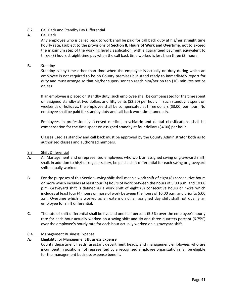# 8.2 Call Back and Standby Pay Differential

# **A.** Call Back

Any employee who is called back to work shall be paid for call back duty at his/her straight time hourly rate, (subject to the provisions of **Section 8, Hours of Work and Overtime**, not to exceed the maximum step of the working level classification, with a guaranteed payment equivalent to three (3) hours straight time pay when the call back time worked is less than three (3) hours.

# **B.** Standby

Standby is any time other than time when the employee is actually on duty during which an employee is not required to be on County premises but stand ready to immediately report for duty and must arrange so that his/her supervisor can reach him/her on ten (10) minutes notice or less.

If an employee is placed on standby duty, such employee shall be compensated for the time spent on assigned standby at two dollars and fifty cents (\$2.50) per hour. If such standby is spent on weekends or holidays, the employee shall be compensated at three dollars (\$3.00) per hour. No employee shall be paid for standby duty and call back work simultaneously.

Employees in professionally licensed medical, psychiatric and dental classifications shall be compensation for the time spent on assigned standby at four dollars (\$4.00) per hour.

Classes used as standby and call back must be approved by the County Administrator both as to authorized classes and authorized numbers.

## 8.3 Shift Differential

- **A.** All Management and unrepresented employees who work an assigned swing or graveyard shift, shall, in addition to his/her regular salary, be paid a shift differential for each swing or graveyard shift actually worked.
- **B.** For the purposes of this Section, swing shift shall mean a work shift of eight (8) consecutive hours or more which includes at least four (4) hours of work between the hours of 5:00 p.m. and 10:00 p.m. Graveyard shift is defined as a work shift of eight (8) consecutive hours or more which includes at least four (4) hours or more of work between the hours of 10:00 p.m. and prior to 5:00 a.m. Overtime which is worked as an extension of an assigned day shift shall not qualify an employee for shift differential.
- **C.** The rate of shift differential shall be five and one half percent (5.5%) over the employee's hourly rate for each hour actually worked on a swing shift and six and three-quarters percent (6.75%) over the employee's hourly rate for each hour actually worked on a graveyard shift.

## 8.4 Management Business Expense

# **A.** Eligibility for Management Business Expense County department heads, assistant department heads, and management employees who are incumbent in positions not represented by a recognized employee organization shall be eligible for the management business expense benefit.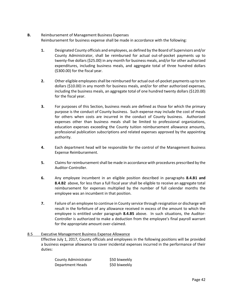# **B.** Reimbursement of Management Business Expenses

Reimbursement for business expense shall be made in accordance with the following:

- **1.** Designated County officials and employees, as defined by the Board of Supervisors and/or County Administrator, shall be reimbursed for actual out-of-pocket payments up to twenty-five dollars (\$25.00) in any month for business meals, and/or for other authorized expenditures, including business meals, and aggregate total of three hundred dollars (\$300.00) for the fiscal year.
- **2.** Other eligible employees shall be reimbursed for actual out-of-pocket payments up to ten dollars (\$10.00) in any month for business meals, and/or for other authorized expenses, including the business meals, an aggregate total of one hundred twenty dollars (\$120.00) for the fiscal year.
- **3.** For purposes of this Section, business meals are defined as those for which the primary purpose is the conduct of County business. Such expense may include the cost of meals for others when costs are incurred in the conduct of County business. Authorized expenses other than business meals shall be limited to professional organizations, education expenses exceeding the County tuition reimbursement allowance amounts, professional publication subscriptions and related expenses approved by the appointing authority.
- **4.** Each department head will be responsible for the control of the Management Business Expense Reimbursement.
- **5.** Claims for reimbursement shall be made in accordance with procedures prescribed by the Auditor-Controller.
- **6.** Any employee incumbent in an eligible position described in paragraphs **8.4.B1 and 8.4.B2** above, for less than a full fiscal year shall be eligible to receive an aggregate total reimbursement for expenses multiplied by the number of full calendar months the employee was an incumbent in that position.
- **7.** Failure of an employee to continue in County service through resignation or discharge will result in the forfeiture of any allowance received in excess of the amount to which the employee is entitled under paragraph **8.4.B5** above. In such situations, the Auditor-Controller is authorized to make a deduction from the employee's final payroll warrant for the appropriate amount over-claimed.

# 8.5 Executive Management Business Expense Allowance

Effective July 1, 2017, County officials and employees in the following positions will be provided a business expense allowance to cover incidental expenses incurred in the performance of their duties:

| County Administrator    | \$50 biweekly |
|-------------------------|---------------|
| <b>Department Heads</b> | \$50 biweekly |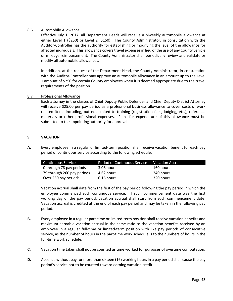#### 8.6 Automobile Allowance

Effective July 1, 2017, all Department Heads will receive a biweekly automobile allowance at either Level 1 (\$250) or Level 2 (\$150). The County Administrator, in consultation with the Auditor-Controller has the authority for establishing or modifying the level of the allowance for affected individuals. This allowance covers travel expenses in lieu of the use of any County vehicle or mileage reimbursement. The County Administrator shall periodically review and validate or modify all automobile allowances.

In addition, at the request of the Department Head, the County Administrator, in consultation with the Auditor-Controller may approve an automobile allowance in an amount up to the Level 1 amount of \$250 for certain County employees when it is deemed appropriate due to the travel requirements of the position.

#### 8.7 Professional Allowance

Each attorney in the classes of Chief Deputy Public Defender and Chief Deputy District Attorney will receive \$25.00 per pay period as a professional business allowance to cover costs of work related items including, but not limited to training (registration fees, lodging, etc.), reference materials or other professional expenses. Plans for expenditure of this allowance must be submitted to the appointing authority for approval.

## **9. VACATION**

**A.** Every employee in a regular or limited-term position shall receive vacation benefit for each pay period of continuous service according to the following schedule:

| <b>Continuous Service</b>  | Period of Continuous Service | Vacation Accrual |
|----------------------------|------------------------------|------------------|
| 0 through 78 pay periods   | 3.08 hours                   | 160 hours        |
| 79 through 260 pay periods | 4.62 hours                   | 240 hours        |
| Over 260 pay periods       | 6.16 hours                   | 320 hours        |

Vacation accrual shall date from the first of the pay period following the pay period in which the employee commenced such continuous service. If such commencement date was the first working day of the pay period, vacation accrual shall start from such commencement date. Vacation accrual is credited at the end of each pay period and may be taken in the following pay period.

- **B.** Every employee in a regular part-time or limited-term position shall receive vacation benefits and maximum earnable vacation accrual in the same ratio to the vacation benefits received by an employee in a regular full-time or limited-term position with like pay periods of consecutive service, as the number of hours in the part-time work schedule is to the numbers of hours in the full-time work schedule.
- **C.** Vacation time taken shall not be counted as time worked for purposes of overtime computation.
- **D.** Absence without pay for more than sixteen (16) working hours in a pay period shall cause the pay period's service not to be counted toward earning vacation credit.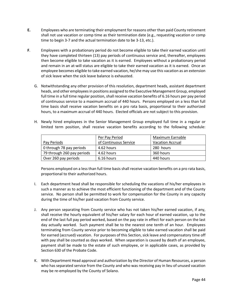- **E.** Employees who are terminating their employment for reasons other than paid County retirement shall not use vacation or comp time as their termination date (e.g., requesting vacation or comp time to begin 3-7 and the actual termination date to be 3-13, etc.).
- **F**. Employees with a probationary period do not become eligible to take their earned vacation until they have completed thirteen (13) pay periods of continuous service and, thereafter, employees then become eligible to take vacation as it is earned. Employees without a probationary period and remain in an at-will status are eligible to take their earned vacation as it is earned. Once an employee becomes eligible to take earned vacation, he/she may use this vacation as an extension of sick leave when the sick leave balance is exhausted.
	- G. Notwithstanding any other provision of this resolution, department heads, assistant department heads, and other employees in positions assigned to the Executive Management Group, employed full time in a full time regular position, shall receive vacation benefits of 6.16 hours per pay period of continuous service to a maximum accrual of 440 hours. Persons employed on a less than full time basis shall receive vacation benefits on a pro rata basis, proportional to their authorized hours, to a maximum accrual of 440 hours. Elected officials are not subject to this provision.
	- H. Newly hired employees in the Senior Management Group employed full time in a regular or limited term position, shall receive vacation benefits according to the following schedule:

|                            | Per Pay Period        | Maximum Earnable        |
|----------------------------|-----------------------|-------------------------|
| Pay Periods                | of Continuous Service | <b>Vacation Accrual</b> |
| 0 through 78 pay periods   | 4.62 hours            | 280 hours               |
| 79 through 260 pay periods | 4.62 hours            | 360 hours               |
| Over 260 pay periods       | 6.16 hours            | 440 hours               |

Persons employed on a less than full time basis shall receive vacation benefits on a pro rata basis, proportional to their authorized hours.

- I. Each department head shall be responsible for scheduling the vacations of his/her employees in such a manner as to achieve the most efficient functioning of the department and of the County service. No person shall be permitted to work for compensation for the County in any capacity during the time of his/her paid vacation from County service.
- J. Any person separating from County service who has not taken his/her earned vacation, if any, shall receive the hourly equivalent of his/her salary for each hour of earned vacation, up to the end of the last full pay period worked, based on the pay rate in effect for each person on the last day actually worked. Such payment shall be to the nearest one tenth of an hour. Employees terminating from County service prior to becoming eligible to take earned vacation shall be paid for earned (accrued) vacation. For purposes of this Section, sick leave and compensatory time off with pay shall be counted as days worked. When separation is caused by death of an employee, payment shall be made to the estate of such employee, or in applicable cases, as provided by Section 630 of the Probate Code.
- K. With Department Head approval and authorization by the Director of Human Resources, a person who has separated service from the County and who was receiving pay in lieu of unused vacation may be re-employed by the County of Solano.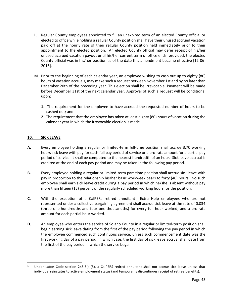- L. Regular County employees appointed to fill an unexpired term of an elected County official or elected to office while holding a regular County position shall have their unused accrued vacation paid off at the hourly rate of their regular County position held immediately prior to their appointment to the elected position. An elected County official may defer receipt of his/her unused accrued vacation payout until his/her current term of office ends; provided, the elected County official was in his/her position as of the date this amendment became effective [12-06- 2016].
- M. Prior to the beginning of each calendar year, an employee wishing to cash out up to eighty (80) hours of vacation accruals, may make such a request between November 1st and by no later than December 20th of the preceding year. This election shall be irrevocable. Payment will be made before December 31st of the next calendar year. Approval of such a request will be conditional upon:
	- **1**. The requirement for the employee to have accrued the requested number of hours to be cashed out; and
	- **2**. The requirement that the employee has taken at least eighty (80) hours of vacation during the calendar year in which the irrevocable election is made.

# **10. SICK LEAVE**

 $\overline{\phantom{a}}$ 

- **A.** Every employee holding a regular or limited-term full-time position shall accrue 3.70 working hours sick leave with pay for each full pay period of service or a pro-rata amount for a partial pay period of service. It shall be computed to the nearest hundredth of an hour. Sick leave accrual is credited at the end of each pay period and may be taken in the following pay period.
- **B.** Every employee holding a regular or limited-term part-time position shall accrue sick leave with pay in proportion to the relationship his/her basic workweek bears to forty (40) hours. No such employee shall earn sick leave credit during a pay period in which he/she is absent without pay more than fifteen (15) percent of the regularly scheduled working hours for the position.
- **C.** With the exception of a CalPERs retired annuitant<sup>1</sup>, Extra Help employees who are not represented under a collective bargaining agreement shall accrue sick leave at the rate of 0.034 (three one-hundredths and four one-thousandths) for every full hour worked, and a pro-rata amount for each partial hour worked.
- **D.** An employee who enters the service of Solano County in a regular or limited-term position shall begin earning sick leave dating from the first of the pay period following the pay period in which the employee commenced such continuous service, unless such commencement date was the first working day of a pay period, in which case, the first day of sick leave accrual shall date from the first of the pay period in which the service began.

<sup>&</sup>lt;sup>1</sup> Under Labor Code section 245.5(a)(5), a CalPERS retired annuitant shall not accrue sick leave unless that individual reinstates to active employment status (and temporarily discontinues receipt of retiree benefits).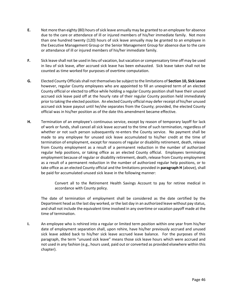- **E.** Not more than eighty (80) hours of sick leave annually may be granted to an employee for absence due to the care or attendance of ill or injured members of his/her immediate family. Not more than one hundred twenty (120) hours of sick leave annually may be granted to an employee in the Executive Management Group or the Senior Management Group for absence due to the care or attendance of ill or injured members of his/her immediate family.
- **F.** Sick leave shall not be used in lieu of vacation, but vacation or compensatory time off may be used in lieu of sick leave, after accrued sick leave has been exhausted. Sick leave taken shall not be counted as time worked for purposes of overtime computation.
- **G.** Elected County Officials shall not themselves be subject to the limitations of **Section 10, Sick Leave** however, regular County employees who are appointed to fill an unexpired term of an elected County official or elected to office while holding a regular County position shall have their unused accrued sick leave paid off at the hourly rate of their regular County position held immediately prior to taking the elected position. An elected County official may defer receipt of his/her unused accrued sick leave payout until he/she separates from the County; provided, the elected County official was in his/her position as of the date this amendment became effective.
- **H.** Termination of an employee's continuous service, except by reason of temporary layoff for lack of work or funds, shall cancel all sick leave accrued to the time of such termination, regardless of whether or not such person subsequently re-enters the County service. No payment shall be made to any employee for unused sick leave accumulated to his/her credit at the time of termination of employment, except for reasons of regular or disability retirement, death, release from County employment as a result of a permanent reduction in the number of authorized regular help positions, or taking office as an elected County official. Employees terminating employment because of regular or disability retirement, death, release from County employment as a result of a permanent reduction in the number of authorized regular help positions, or to take office as an elected County official and the limitations provided in **paragraph H** (above), shall be paid for accumulated unused sick leave in the following manner:

Convert all to the Retirement Health Savings Account to pay for retiree medical in accordance with County policy.

The date of termination of employment shall be considered as the date certified by the Department head as the last day worked, or the last day in an authorized leave without pay status, and shall not include the equivalent time involved in any overtime or vacation payoff made at the time of termination.

**I.** An employee who is rehired into a regular or limited term position within one year from his/her date of employment separation shall, upon rehire, have his/her previously accrued and unused sick leave added back to his/her sick leave accrued leave balance. For the purposes of this paragraph, the term "unused sick leave" means those sick leave hours which were accrued and not used in any fashion (e.g., hours used, paid out or converted as provided elsewhere within this chapter).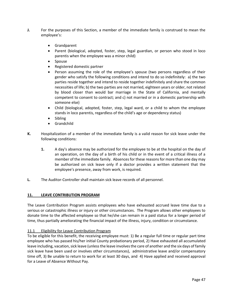- **J.** For the purposes of this Section, a member of the immediate family is construed to mean the employee's:
	- Grandparent
	- Parent (biological, adopted, foster, step, legal guardian, or person who stood in loco parentis when the employee was a minor child)
	- Spouse
	- Registered domestic partner
	- Person assuming the role of the employee's spouse (two persons regardless of their gender who satisfy the following conditions and intend to do so indefinitely: a) the two parties reside together and intend to reside together indefinitely and share the common necessities of life; b) the two parties are not married, eighteen years or older, not related by blood closer than would bar marriage in the State of California, and mentally competent to consent to contract; and c) not married or in a domestic partnership with someone else)
	- Child (biological, adopted, foster, step, legal ward, or a child to whom the employee stands in loco parentis, regardless of the child's age or dependency status)
	- Sibling
	- **Grandchild**
- **K.** Hospitalization of a member of the immediate family is a valid reason for sick leave under the following conditions:
	- **1.** A day's absence may be authorized for the employee to be at the hospital on the day of an operation, on the day of a birth of his child or in the event of a critical illness of a member of the immediate family. Absences for these reasons for more than one day may be authorized on sick leave only if a doctor provides a written statement that the employee's presence, away from work, is required.
- **L.** The Auditor-Controller shall maintain sick leave records of all personnel.

#### **11. LEAVE CONTRIBUTION PROGRAM**

The Leave Contribution Program assists employees who have exhausted accrued leave time due to a serious or catastrophic illness or injury or other circumstances. The Program allows other employees to donate time to the affected employee so that he/she can remain in a paid status for a longer period of time, thus partially ameliorating the financial impact of the illness, injury, condition or circumstance.

## 11.1 Eligibility for Leave Contribution Program

To be eligible for this benefit, the receiving employee must: 1) Be a regular full time or regular part time employee who has passed his/her initial County probationary period, 2) Have exhausted all accumulated leave including, vacation, sick leave (unlessthe leave involves the care of another and the six days of family sick leave have been used or involves other circumstances), administrative leave and/or compensatory time off, 3) Be unable to return to work for at least 30 days, and 4) Have applied and received approval for a Leave of Absence Without Pay.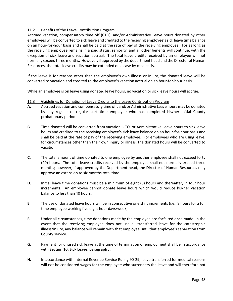# 11.2 Benefits of the Leave Contribution Program

Accrued vacation, compensatory time off (CTO), and/or Administrative Leave hours donated by other employees will be converted to sick leave and credited to the receiving employee's sick leave time balance on an hour-for-hour basis and shall be paid at the rate of pay of the receiving employee. For as long as the receiving employee remains in a paid status, seniority, and all other benefits will continue, with the exception of sick leave and vacation accrual. The total leave credits received by an employee will not normally exceed three months. However, if approved by the department head and the Director of Human Resources, the total leave credits may be extended on a case by case basis.

If the leave is for reasons other than the employee's own illness or injury, the donated leave will be converted to vacation and credited to the employee's vacation accrual on an hour-for-hour basis.

While an employee is on leave using donated leave hours, no vacation or sick leave hours will accrue.

- 11.3 Guidelines for Donation of Leave Credits to the Leave Contribution Program
- **A.** Accrued vacation and compensatory time off, and/or Administrative Leave hours may be donated by any regular or regular part time employee who has completed his/her initial County probationary period.
- **B.** Time donated will be converted from vacation, CTO, or Administrative Leave hours to sick leave hours and credited to the receiving employee's sick leave balance on an hour-for-hour basis and shall be paid at the rate of pay of the receiving employee. For employees who are using leave, for circumstances other than their own injury or illness, the donated hours will be converted to vacation.
- **C.** The total amount of time donated to one employee by another employee shall not exceed forty (40) hours. The total leave credits received by the employee shall not normally exceed three months; however, if approved by the Department head, the Director of Human Resources may approve an extension to six months total time.
- **D.** Initial leave time donations must be a minimum of eight (8) hours and thereafter, in four hour increments. An employee cannot donate leave hours which would reduce his/her vacation balance to less than 40 hours.
- **E.** The use of donated leave hours will be in consecutive one shift increments (i.e., 8 hours for a full time employee working five eight hour days/week).
- **F.** Under all circumstances, time donations made by the employee are forfeited once made. In the event that the receiving employee does not use all transferred leave for the catastrophic illness/injury, any balance will remain with that employee until that employee's separation from County service.
- **G.** Payment for unused sick leave at the time of termination of employment shall be in accordance with **Section 10, Sick Leave, paragraph J**.
- **H.** In accordance with Internal Revenue Service Ruling 90-29, leave transferred for medical reasons will not be considered wages for the employee who surrenders the leave and will therefore not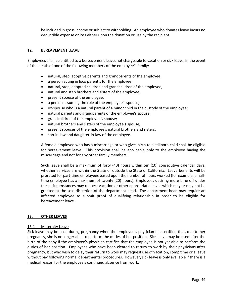be included in gross income or subject to withholding. An employee who donates leave incurs no deductible expense or loss either upon the donation or use by the recipient.

#### **12. BEREAVEMENT LEAVE**

Employees shall be entitled to a bereavement leave, not chargeable to vacation or sick leave, in the event of the death of one of the following members of the employee's family:

- natural, step, adoptive parents and grandparents of the employee;
- a person acting in loco parentis for the employee;
- natural, step, adopted children and grandchildren of the employee;
- natural and step brothers and sisters of the employee;
- present spouse of the employee;
- a person assuming the role of the employee's spouse;
- ex-spouse who is a natural parent of a minor child in the custody of the employee;
- natural parents and grandparents of the employee's spouse;
- grandchildren of the employee's spouse;
- natural brothers and sisters of the employee's spouse;
- present spouses of the employee's natural brothers and sisters;
- son-in-law and daughter-in-law of the employee.

A female employee who has a miscarriage or who gives birth to a stillborn child shall be eligible for bereavement leave. This provision shall be applicable only to the employee having the miscarriage and not for any other family members.

Such leave shall be a maximum of forty (40) hours within ten (10) consecutive calendar days, whether services are within the State or outside the State of California. Leave benefits will be prorated for part-time employees based upon the number of hours worked (for example, a halftime employee has a maximum of twenty (20) hours). Employees desiring more time off under these circumstances may request vacation or other appropriate leaves which may or may not be granted at the sole discretion of the department head. The department head may require an affected employee to submit proof of qualifying relationship in order to be eligible for bereavement leave.

#### **13. OTHER LEAVES**

#### 13.1 Maternity Leave

Sick leave may be used during pregnancy when the employee's physician has certified that, due to her pregnancy, she is no longer able to perform the duties of her position. Sick leave may be used after the birth of the baby if the employee's physician certifies that the employee is not yet able to perform the duties of her position. Employees who have been cleared to return to work by their physicians after pregnancy, but who wish to delay their return to work may request use of vacation, comp time or a leave without pay following normal departmental procedures. However, sick leave is only available if there is a medical reason for the employee's continued absence from work.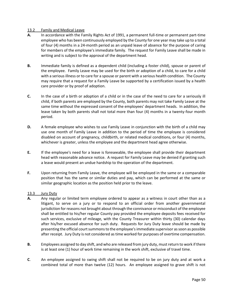## 13.2 Family and Medical Leave

- **A.** In accordance with the Family Rights Act of 1991, a permanent full-time or permanent part-time employee who has been continuously employed by the County for one year may take up to a total of four (4) months in a 24-month period as an unpaid leave of absence for the purpose of caring for members of the employee's immediate family. The request for Family Leave shall be made in writing and is subject to the approval of the department head.
- **B.** Immediate family is defined as a dependent child (including a foster child), spouse or parent of the employee. Family Leave may be used for the birth or adoption of a child, to care for a child with a serious illness or to care for a spouse or parent with a serious health condition. The County may require that a request for a Family Leave be supported by a certification issued by a health care provider or by proof of adoption.
- **C.** In the case of a birth or adoption of a child or in the case of the need to care for a seriously ill child, if both parents are employed by the County, both parents may not take Family Leave at the same time without the expressed consent of the employees' department heads. In addition, the leave taken by both parents shall not total more than four (4) months in a twenty-four month period.
- **D.** A female employee who wishes to use Family Leave in conjunction with the birth of a child may use one month of Family Leave in addition to the period of time the employee is considered disabled on account of pregnancy, childbirth, or related medical conditions, or four (4) months, whichever is greater, unless the employee and the department head agree otherwise.
- **E.** If the employee's need for a leave is foreseeable, the employee shall provide their department head with reasonable advance notice. A request for Family Leave may be denied if granting such a leave would present an undue hardship to the operation of the department.
- **F.** Upon returning from Family Leave, the employee will be employed in the same or a comparable position that has the same or similar duties and pay, which can be performed at the same or similar geographic location as the position held prior to the leave.

#### 13.3 Jury Duty

- **A.** Any regular or limited term employee ordered to appear as a witness in court other than as a litigant, to serve on a jury or to respond to an official order from another governmental jurisdiction for reasons not brought about through the connivance or misconduct of the employee shall be entitled to his/her regular County pay provided the employee deposits fees received for such services, exclusive of mileage, with the County Treasurer within thirty (30) calendar days after his/her excused absence for such duty. Requests for Jury Duty leave should be made by presenting the official court summons to the employee's immediate supervisor as soon as possible after receipt. Jury Duty is not considered as time worked for purposes of overtime compensation.
- **B.** Employees assigned to day shift, and who are released from jury duty, must return to work if there is at least one (1) hour of work time remaining in the work shift, exclusive of travel time.
- **C**. An employee assigned to swing shift shall not be required to be on jury duty and at work a combined total of more than twelve (12) hours. An employee assigned to grave shift is not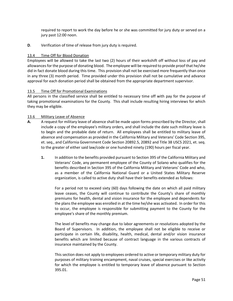required to report to work the day before he or she was committed for jury duty or served on a jury past 12:00 noon.

**D**. Verification of time of release from jury duty is required.

# 13.4 Time Off for Blood Donation

Employees will be allowed to take the last two (2) hours of their workshift off without loss of pay and allowances for the purpose of donating blood. The employee will be required to provide proof that he/she did in fact donate blood during this time. This provision shall not be exercised more frequently than once in any three (3) month period. Time provided under this provision shall not be cumulative and advance approval for each donation period shall be obtained from the appropriate department supervisor.

## 13.5 Time Off for Promotional Examinations

All persons in the classified service shall be entitled to necessary time off with pay for the purpose of taking promotional examinations for the County. This shall include resulting hiring interviews for which they may be eligible.

# 13.6 Military Leave of Absence

- **A.** A request for military leave of absence shall be made upon forms prescribed by the Director, shall include a copy of the employee's military orders, and shall include the date such military leave is to begin and the probable date of return. All employees shall be entitled to military leave of absence and compensation as provided in the California Military and Veterans' Code Section 395, et. seq., and California Government Code Section 20892.5, 20892 and Title 38 USCS 2021, et. seq. to the greater of either said law/code or one hundred ninety (190) hours per fiscal year.
	- **1.** In addition to the benefits provided pursuant to Section 395 of the California Military and Veterans' Code, any permanent employee of the County of Solano who qualifies for the benefits described in Section 395 of the California Military and Veterans' Code and who, as a member of the California National Guard or a United States Military Reserve organization, is called to active duty shall have their benefits extended as follows:

For a period not to exceed sixty (60) days following the date on which all paid military leave ceases, the County will continue to contribute the County's share of monthly premiums for health, dental and vision insurance for the employee and dependents for the plans the employee was enrolled in at the time he/she was activated. In order for this to occur, the employee is responsible for submitting payment to the County for the employee's share of the monthly premium.

The level of benefits may change due to labor agreements or resolutions adopted by the Board of Supervisors. In addition, the employee shall not be eligible to receive or participate in certain life, disability, health, medical, dental and/or vision insurance benefits which are limited because of contract language in the various contracts of insurance maintained by the County.

This section does not apply to employees ordered to active or temporary military duty for purposes of military training encampment, naval cruises, special exercises or like activity for which the employee is entitled to temporary leave of absence pursuant to Section 395.01.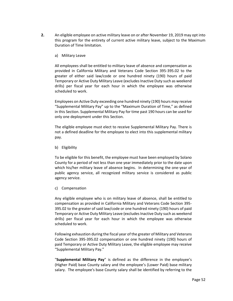- **2.** An eligible employee on active military leave on or after November 19, 2019 may opt into this program for the entirety of current active military leave, subject to the Maximum Duration of Time limitation.
	- a) Military Leave

All employees shall be entitled to military leave of absence and compensation as provided in California Military and Veterans Code Section 395-395.02 to the greater of either said law/code or one hundred ninety (190) hours of paid Temporary or Active Duty Military Leave (excludes Inactive Duty such as weekend drills) per fiscal year for each hour in which the employee was otherwise scheduled to work.

Employees on Active Duty exceeding one hundred ninety (190) hours may receive "Supplemental Military Pay" up to the "Maximum Duration of Time," as defined in this Section. Supplemental Military Pay for time past 190 hours can be used for only one deployment under this Section.

The eligible employee must elect to receive Supplemental Military Pay. There is not a defined deadline for the employee to elect into this supplemental military pay.

b) Eligibility

To be eligible for this benefit, the employee must have been employed by Solano County for a period of not less than one year immediately prior to the date upon which his/her military leave of absence begins. In determining the one-year of public agency service, all recognized military service is considered as public agency service.

c) Compensation

Any eligible employee who is on military leave of absence, shall be entitled to compensation as provided in California Military and Veterans Code Section 395- 395.02 to the greater of said law/code or one hundred ninety (190) hours of paid Temporary or Active Duty Military Leave (excludes Inactive Duty such as weekend drills) per fiscal year for each hour in which the employee was otherwise scheduled to work.

Following exhaustion during the fiscal year of the greater of Military and Veterans Code Section 395-395.02 compensation or one hundred ninety (190) hours of paid Temporary or Active Duty Military Leave, the eligible employee may receive "Supplemental Military Pay."

"**Supplemental Military Pay**" is defined as the difference in the employee's (Higher Paid) base County salary and the employee's (Lower Paid) base military salary. The employee's base County salary shall be identified by referring to the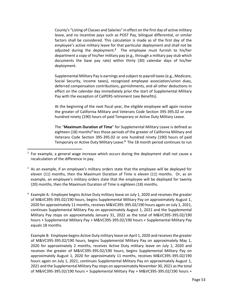County's "Listing of Classes and Salaries" in effect on the first day of active military leave, and no incentive pays such as POST Pay, bilingual differential, or similar factors shall be considered. This calculation is made as of the first day of the employee's active military leave for that particular deployment and shall not be adjusted during the deployment.<sup>2</sup> The employee must furnish to his/her department a copy of his/her military pay (e.g., through a military pay stub which documents the base pay rate) within thirty (30) calendar days of his/her deployment.

Supplemental Military Pay is earnings and subject to payroll taxes (e.g., Medicare, Social Security, income taxes), recognized employee association/union dues, deferred compensation contributions, garnishments, and all other deductions in effect on the calendar day immediately prior the start of Supplemental Military Pay with the exception of CalPERS retirement (see Benefits).

At the beginning of the next fiscal year, the eligible employee will again receive the greater of California Military and Veterans Code Section 395-395.02 or one hundred ninety (190) hours of paid Temporary or Active Duty Military Leave.

The "**Maximum Duration of Time**" for Supplemental Military Leave is defined as eighteen (18) months<sup>3</sup> less those periods of the greater of California Military and Veterans Code Section 395-395.02 or one hundred ninety (190) hours of paid Temporary or Active Duty Military Leave.<sup>4</sup> The 18 month period continues to run

 $\overline{\phantom{a}}$ 

Example B: Employee begins Active Duty military leave on April 1, 2020 and receives the greater of M&VC395-395.02/190 hours, begins Supplemental Military Pay on approximately May 1, 2020 for approximately 2 months, receives Active Duty military leave on July 1, 2020 and receives the greater of M&VC395-395.02/190 hours, begins Supplemental Military Pay on approximately August 1, 2020 for approximately 11 months, receives M&VC395-395.02/190 hours again on July 1, 2021, continues Supplemental Military Pay on approximately August 1, 2021 and the Supplemental Military Pay stops on approximately November 30, 2021 as the total of M&VC395-395.02/190 hours + Supplemental Military Pay + M&VC395-395.02/190 hours +

 $2$  For example, a general wage increase which occurs during the deployment shall not cause a recalculation of the difference in pay.

 $3$  As an example, if an employee's military orders state that the employee will be deployed for eleven (11) months, then the Maximum Duration of Time is eleven (11) months. Or, as an example, an employee's military orders state that the employee will be deployed for twenty (20) months, then the Maximum Duration of Time is eighteen (18) months.

<sup>4</sup> Example A: Employee begins Active Duty military leave on July 1, 2020 and receives the greater of M&VC395-395.02/190 hours, begins Supplemental Military Pay on approximately August 1, 2020 for approximately 11 months, receives M&VC395-395.02/190 hours again on July 1, 2021, continues Supplemental Military Pay on approximately August 1, 2021 and the Supplemental Military Pay stops on approximately January 31, 2022 as the total of M&VC395-395.02/190 hours + Supplemental Military Pay + M&VC395-395.02/190 hours + Supplemental Military Pay equals 18 months.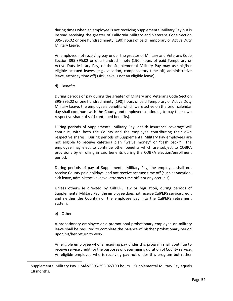during times when an employee is not receiving Supplemental Military Pay but is instead receiving the greater of California Military and Veterans Code Section 395-395.02 or one hundred ninety (190) hours of paid Temporary or Active Duty Military Leave.

An employee not receiving pay under the greater of Military and Veterans Code Section 395-395.02 or one hundred ninety (190) hours of paid Temporary or Active Duty Military Pay, or the Supplemental Military Pay may use his/her eligible accrued leaves (e.g., vacation, compensatory time off, administrative leave, attorney time off) (sick leave is not an eligible leave).

d) Benefits

During periods of pay during the greater of Military and Veterans Code Section 395-395.02 or one hundred ninety (190) hours of paid Temporary or Active Duty Military Leave, the employee's benefits which were active on the prior calendar day shall continue (with the County and employee continuing to pay their own respective share of said continued benefits).

During periods of Supplemental Military Pay, health insurance coverage will continue, with both the County and the employee contributing their own respective shares. During periods of Supplemental Military Pay employees are not eligible to receive cafeteria plan "waive money" or "cash back." The employee may elect to continue other benefits which are subject to COBRA provisions by enrolling in said benefits during the COBRA election/enrollment period.

During periods of pay of Supplemental Military Pay, the employee shall not receive County paid holidays, and not receive accrued time off (such as vacation, sick leave, administrative leave, attorney time off, nor any accruals).

Unless otherwise directed by CalPERS law or regulation, during periods of Supplemental Military Pay, the employee does not receive CalPERS service credit and neither the County nor the employee pay into the CalPERS retirement system.

e) Other

 $\overline{\phantom{a}}$ 

A probationary employee or a promotional probationary employee on military leave shall be required to complete the balance of his/her probationary period upon his/her return to work.

An eligible employee who is receiving pay under this program shall continue to receive service credit for the purposes of determining duration of County service. An eligible employee who is receiving pay not under this program but rather

Supplemental Military Pay + M&VC395-395.02/190 hours + Supplemental Military Pay equals 18 months.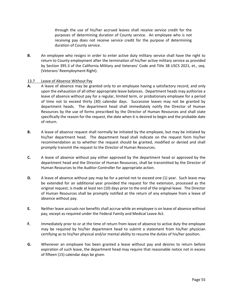through the use of his/her accrued leaves shall receive service credit for the purposes of determining duration of County service. An employee who is not receiving pay does not receive service credit for the purpose of determining duration of County service.

**B.** An employee who resigns in order to enter active duty military service shall have the right to return to County employment after the termination of his/her active military service as provided by Section 395.3 of the California Military and Veterans' Code and Title 38 USCS 2021, et., seq. (Veterans' Reemployment Right).

#### 13.7 Leave of Absence Without Pay

- **A.** A leave of absence may be granted only to an employee having a satisfactory record, and only upon the exhaustion of all other appropriate leave balances. Department heads may authorize a leave of absence without pay for a regular, limited term, or probationary employee for a period of time not to exceed thirty (30) calendar days. Successive leaves may not be granted by department heads. The department head shall immediately notify the Director of Human Resources by the use of forms prescribed by the Director of Human Resources and shall state specifically the reason for the request, the date when it is desired to begin and the probable date of return.
- **B.** A leave of absence request shall normally be initiated by the employee, but may be initiated by his/her department head. The department head shall indicate on the request form his/her recommendation as to whether the request should be granted, modified or denied and shall promptly transmit the request to the Director of Human Resources.
- **C.** A leave of absence without pay either approved by the department head or approved by the department head and the Director of Human Resources, shall be transmitted by the Director of Human Resources to the Auditor-Controller for appropriate action.
- **D.** A leave of absence without pay may be for a period not to exceed one (1) year. Such leave may be extended for an additional year provided the request for the extension, processed as the original request, is made at least ten (10) days prior to the end of the original leave. The Director of Human Resources shall be promptly notified at the return of any employee from a leave of absence without pay.
- **E.** Neither leave accruals nor benefits shall accrue while an employee is on leave of absence without pay, except as required under the Federal Family and Medical Leave Act.
- **F.** Immediately prior to or at the time of return from leave of absence to active duty the employee may be required by his/her department head to submit a statement from his/her physician certifying as to his/her physical and/or mental ability to resume the duties of his/her position.
- **G.** Whenever an employee has been granted a leave without pay and desires to return before expiration of such leave, the department head may require that reasonable notice not in excess of fifteen (15) calendar days be given.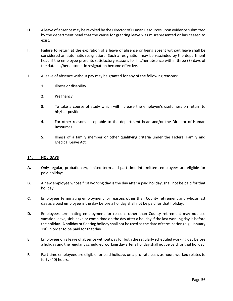- **H.** A leave of absence may be revoked by the Director of Human Resources upon evidence submitted by the department head that the cause for granting leave was misrepresented or has ceased to exist.
- **I.** Failure to return at the expiration of a leave of absence or being absent without leave shall be considered an automatic resignation. Such a resignation may be rescinded by the department head if the employee presents satisfactory reasons for his/her absence within three (3) days of the date his/her automatic resignation became effective.
- **J.** A leave of absence without pay may be granted for any of the following reasons:
	- **1.** Illness or disability
	- **2.** Pregnancy
	- **3.** To take a course of study which will increase the employee's usefulness on return to his/her position.
	- **4.** For other reasons acceptable to the department head and/or the Director of Human Resources.
	- **5.** Illness of a family member or other qualifying criteria under the Federal Family and Medical Leave Act.

## **14. HOLIDAYS**

- **A.** Only regular, probationary, limited-term and part time intermittent employees are eligible for paid holidays.
- **B.** A new employee whose first working day is the day after a paid holiday, shall not be paid for that holiday.
- **C.** Employees terminating employment for reasons other than County retirement and whose last day as a paid employee is the day before a holiday shall not be paid for that holiday.
- **D.** Employees terminating employment for reasons other than County retirement may not use vacation leave, sick leave or comp time on the day after a holiday if the last working day is before the holiday. A holiday or floating holiday shall not be used as the date of termination (e.g., January 1st) in order to be paid for that day.
- **E.** Employees on a leave of absence without pay for both the regularly scheduled working day before a holiday and the regularly scheduled working day after a holiday shall not be paid for that holiday.
- **F.** Part-time employees are eligible for paid holidays on a pro-rata basis as hours worked relates to forty (40) hours.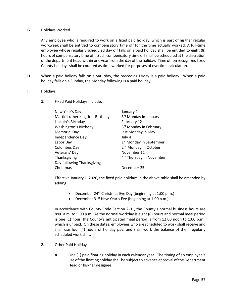#### **G.** Holidays Worked

Any employee who is required to work on a fixed paid holiday, which is part of his/her regular workweek shall be entitled to compensatory time off for the time actually worked. A full-time employee whose regularly scheduled day off falls on a paid holiday shall be entitled to eight (8) hours of compensatory time off. Such compensatory time off shall be scheduled at the discretion of the department head within one year from the day of the holiday. Time off on recognized fixed County holidays shall be counted as time worked for purposes of overtime calculation.

**H.** When a paid holiday falls on a Saturday, the preceding Friday is a paid holiday. When a paid holiday falls on a Sunday, the Monday following is a paid holiday.

#### **I.** Holidays

**1.** Fixed Paid Holidays Include:

| New Year's Day                    | January 1                            |
|-----------------------------------|--------------------------------------|
| Martin Luther King Jr.'s Birthday | 3 <sup>rd</sup> Monday in January    |
| Lincoln's Birthday                | February 12                          |
| Washington's Birthday             | 3 <sup>rd</sup> Monday in February   |
| <b>Memorial Day</b>               | last Monday in May                   |
| Independence Day                  | July 4                               |
| Labor Day                         | 1 <sup>st</sup> Monday in September  |
| Columbus Day                      | 2 <sup>nd</sup> Monday in October    |
| Veterans' Day                     | November 11                          |
| Thanksgiving                      | 4 <sup>th</sup> Thursday in November |
| Day following Thanksgiving        |                                      |
| Christmas                         | December 25                          |

Effective January 1, 2020, the fixed paid holidays in the above table shall be amended by adding:

- December 24th Christmas Eve Day (beginning at 1:00 p.m.)
- December  $31<sup>st</sup>$  New Year's Eve (beginning at 1:00 p.m.)

In accordance with County Code Section 2-01, the County's normal business hours are 8:00 a.m. to 5:00 p.m. As the normal workday is eight (8) hours and normal meal period is one (1) hour, the County's anticipated meal period is from 12:00 noon to 1:00 p.m., which is unpaid. On these dates, employees who are scheduled to work shall receive and shall use four (4) hours of holiday pay, and shall work the balance of their regularly scheduled work shift.

- **2.** Other Paid Holidays:
	- **a.** One (1) paid floating holiday in each calendar year. The timing of an employee's use of the floating holiday shall be subject to advance approval of the Department Head or his/her designee.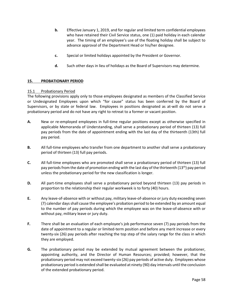- **b.** Effective January 1, 2019, and for regular and limited term confidential employees who have retained their Civil Service status, one (1) paid holiday in each calendar year. The timing of an employee's use of the floating holiday shall be subject to advance approval of the Department Head or his/her designee.
- **c.** Special or limited holidays appointed by the President or Governor.
- **d.** Such other days in lieu of holidays as the Board of Supervisors may determine.

## **15. PROBATIONARY PERIOD**

#### 15.1 Probationary Period

The following provisions apply only to those employees designated as members of the Classified Service or Undesignated Employees upon which "for cause" status has been conferred by the Board of Supervisors, or by state or federal law. Employees in positions designated as at-will do not serve a probationary period and do not have any right to retreat to a former or vacant position.

- **A.** New or re-employed employees in full-time regular positions except as otherwise specified in applicable Memoranda of Understanding, shall serve a probationary period of thirteen (13) full pay periods from the date of appointment ending with the last day of the thirteenth (13th) full pay period.
- **B.** All full-time employees who transfer from one department to another shall serve a probationary period of thirteen (13) full pay periods.
- **C.** All full-time employees who are promoted shall serve a probationary period of thirteen (13) full pay periods from the date of promotion ending with the last day of the thirteenth (13<sup>th</sup>) pay period unless the probationary period for the new classification is longer.
- **D.** All part-time employees shall serve a probationary period beyond thirteen (13) pay periods in proportion to the relationship their regular workweek is to forty (40) hours.
- **E.** Any leave-of-absence with or without pay, military leave-of-absence or jury duty exceeding seven (7) calendar days shall cause the employee's probation period to be extended by an amount equal to the number of pay periods during which the employee was on the leave-of-absence with or without pay, military leave or jury duty.
- **F.** There shall be an evaluation of each employee's job performance seven (7) pay periods from the date of appointment to a regular or limited-term position and before any merit increase or every twenty-six (26) pay periods after reaching the top step of the salary range for the class in which they are employed.
- **G.** The probationary period may be extended by mutual agreement between the probationer, appointing authority, and the Director of Human Resources; provided; however, that the probationary period may not exceed twenty-six (26) pay periods of active duty. Employees whose probationary period is extended shall be evaluated at ninety (90) day intervals until the conclusion of the extended probationary period.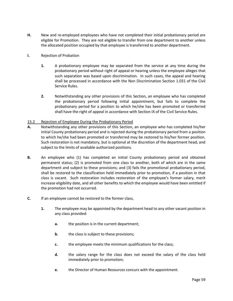- **H.** New and re-employed employees who have not completed their initial probationary period are eligible for Promotion. They are not eligible to transfer from one department to another unless the allocated position occupied by that employee is transferred to another department.
- **I.** Rejection of Probation
	- **1.** A probationary employee may be separated from the service at any time during the probationary period without right of appeal or hearing unless the employee alleges that such separation was based upon discrimination. In such cases, the appeal and hearing shall be processed in accordance with the Non Discrimination Section 1.031 of the Civil Service Rules.
	- **2.** Notwithstanding any other provisions of this Section, an employee who has completed the probationary period following initial appointment, but fails to complete the probationary period for a position to which he/she has been promoted or transferred shall have the right of appeal in accordance with Section IX of the Civil Service Rules.

## 15.2 Rejection of Employee During the Probationary Period

- **A.** Notwithstanding any other provisions of this Section, an employee who has completed his/her initial County probationary period and is rejected during the probationary period from a position to which he/she had been promoted or transferred may be restored to his/her former position. Such restoration is not mandatory, but is optional at the discretion of the department head, and subject to the limits of available authorized positions.
- **B.** An employee who (1) has completed an initial County probationary period and obtained permanent status; (2) is promoted from one class to another, both of which are in the same department and subject to these provisions; and (3) fails the promotional probationary period, shall be restored to the classification held immediately prior to promotion, if a position in that class is vacant. Such restoration includes restoration of the employee's former salary, merit increase eligibility date, and all other benefits to which the employee would have been entitled if the promotion had not occurred.
- **C.** If an employee cannot be restored to the former class,
	- **1.** The employee may be appointed by the department head to any other vacant position in any class provided:
		- **a.** the position is in the current department;
		- **b.** the class is subject to these provisions;
		- **c.** the employee meets the minimum qualifications for the class;
		- **d.** the salary range for the class does not exceed the salary of the class held immediately prior to promotion;
		- **e.** the Director of Human Resources concurs with the appointment.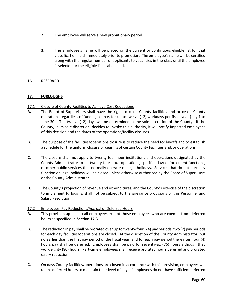- **2.** The employee will serve a new probationary period.
- **3.** The employee's name will be placed on the current or continuous eligible list for that classification held immediately prior to promotion. The employee's name will be certified along with the regular number of applicants to vacancies in the class until the employee is selected or the eligible list is abolished.

# **16. RESERVED**

# **17. FURLOUGHS**

- 17.1 Closure of County Facilities to Achieve Cost Reductions
- **A.** The Board of Supervisors shall have the right to close County facilities and or cease County operations regardless of funding source, for up to twelve (12) workdays per fiscal year (July 1 to June 30). The twelve (12) days will be determined at the sole discretion of the County. If the County, in its sole discretion, decides to invoke this authority, it will notify impacted employees of this decision and the dates of the operations/facility closures.
- **B.** The purpose of the facilities/operations closure is to reduce the need for layoffs and to establish a schedule for the uniform closure or ceasing of certain County Facilities and/or operations.
- **C.** The closure shall not apply to twenty-four-hour institutions and operations designated by the County Administrator to be twenty-four-hour operations, specified law enforcement functions, or other public services that normally operate on legal holidays. Services that do not normally function on legal holidays will be closed unless otherwise authorized by the Board of Supervisors or the County Administrator.
- **D.** The County's projection of revenue and expenditures, and the County's exercise of the discretion to implement furloughs, shall not be subject to the grievance provisions of this Personnel and Salary Resolution.

## 17.2 Employees' Pay Reductions/Accrual of Deferred Hours

- **A.** This provision applies to all employees except those employees who are exempt from deferred hours as specified in **Section 17.3**.
- **B.** The reduction in pay shall be prorated over up to twenty-four (24) pay periods, two (2) pay periods for each day facilities/operations are closed. At the discretion of the County Administrator, but no earlier than the first pay period of the fiscal year, and for each pay period thereafter, four (4) hours pay shall be deferred. Employees shall be paid for seventy-six (76) hours although they work eighty (80) hours. Part-time employees shall receive prorated hours deferred and prorated salary reduction.
- **C.** On days County facilities/operations are closed in accordance with this provision, employees will utilize deferred hours to maintain their level of pay. If employees do not have sufficient deferred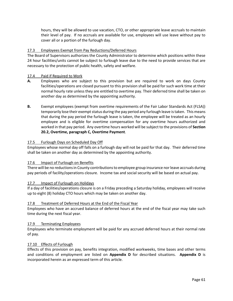hours, they will be allowed to use vacation, CTO, or other appropriate leave accruals to maintain their level of pay. If no accruals are available for use, employees will use leave without pay to cover all or a portion of the furlough day.

# 17.3 Employees Exempt from Pay Reductions/Deferred Hours

The Board of Supervisors authorizes the County Administrator to determine which positions within these 24 hour facilities/units cannot be subject to furlough leave due to the need to provide services that are necessary to the protection of public health, safety and welfare.

## 17.4 Paid if Required to Work

- **A.** Employees who are subject to this provision but are required to work on days County facilities/operations are closed pursuant to this provision shall be paid for such work time at their normal hourly rate unless they are entitled to overtime pay. Their deferred time shall be taken on another day as determined by the appointing authority.
- **B.** Exempt employees (exempt from overtime requirements of the Fair Labor Standards Act (FLSA)) temporarily lose their exempt status during the pay period any furlough leave is taken. This means that during the pay period the furlough leave is taken, the employee will be treated as an hourly employee and is eligible for overtime compensation for any overtime hours authorized and worked in that pay period. Any overtime hours worked will be subject to the provisions of **Section 20.2, Overtime, paragraph C, Overtime Payment**.

## 17.5 Furlough Days on Scheduled Day Off

Employees whose normal day off falls on a furlough day will not be paid for that day. Their deferred time shall be taken on another day as determined by the appointing authority.

## 17.6 Impact of Furlough on Benefits

There will be no reductions in County contributions to employee group insurance nor leave accruals during pay periods of facility/operations closure. Income tax and social security will be based on actual pay.

## 17.7 Impact of Furlough on Holidays

If a day of facilities/operations closure is on a Friday preceding a Saturday holiday, employees will receive up to eight (8) holiday CTO hours which may be taken on another day.

## 17.8 Treatment of Deferred Hours at the End of the Fiscal Year

Employees who have an accrued balance of deferred hours at the end of the fiscal year may take such time during the next fiscal year.

#### 17.9 Terminating Employees

Employees who terminate employment will be paid for any accrued deferred hours at their normal rate of pay.

## 17.10 Effects of Furlough

Effects of this provision on pay, benefits integration, modified workweeks, time bases and other terms and conditions of employment are listed on **Appendix D** for described situations. **Appendix D** is incorporated herein as an expressed term of this article.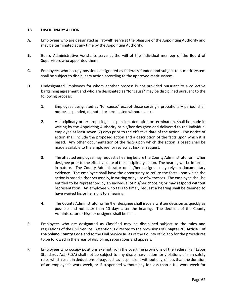#### **18. DISCIPLINARY ACTION**

- **A.** Employees who are designated as "at-will" serve at the pleasure of the Appointing Authority and may be terminated at any time by the Appointing Authority.
- **B.** Board Administrative Assistants serve at the will of the individual member of the Board of Supervisors who appointed them.
- **C.** Employees who occupy positions designated as federally funded and subject to a merit system shall be subject to disciplinary action according to the approved merit system.
- **D.** Undesignated Employees for whom another process is not provided pursuant to a collective bargaining agreement and who are designated as "for cause" may be disciplined pursuant to the following process:
	- **1.** Employees designated as "for cause," except those serving a probationary period, shall not be suspended, demoted or terminated without cause.
	- **2.** A disciplinary order proposing a suspension, demotion or termination, shall be made in writing by the Appointing Authority or his/her designee and delivered to the individual employee at least seven (7) days prior to the effective date of the action. The notice of action shall include the proposed action and a description of the facts upon which it is based. Any other documentation of the facts upon which the action is based shall be made available to the employee for review at his/her request.
	- **3.** The affected employee may request a hearing before the County Administrator or his/her designee prior to the effective date of the disciplinary action. The hearing will be informal in nature. The County Administrator or his/her designee may rely on documentary evidence. The employee shall have the opportunity to refute the facts upon which the action is based either personally, in writing or by use of witnesses. The employee shall be entitled to be represented by an individual of his/her choosing or may respond without representation. An employee who fails to timely request a hearing shall be deemed to have waived his or her right to a hearing.
	- **4.** The County Administrator or his/her designee shall issue a written decision as quickly as possible and not later than 10 days after the hearing. The decision of the County Administrator or his/her designee shall be final.
- **E.** Employees who are designated as Classified may be disciplined subject to the rules and regulations of the Civil Service. Attention is directed to the provisions of **Chapter 20, Article 1 of the Solano County Code** and to the Civil Service Rules of the County of Solano for the procedures to be followed in the areas of discipline, separations and appeals.
- **F.** Employees who occupy positions exempt from the overtime provisions of the Federal Fair Labor Standards Act (FLSA) shall not be subject to any disciplinary action for violations of non-safety rules which result in deductions of pay, such as suspensions without pay, of less than the duration of an employee's work week, or if suspended without pay for less than a full work week for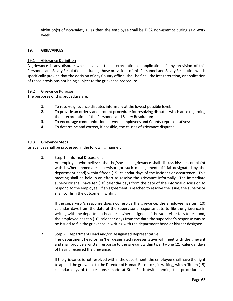violation(s) of non-safety rules then the employee shall be FLSA non-exempt during said work week.

#### **19. GRIEVANCES**

#### 19.1 Grievance Definition

A grievance is any dispute which involves the interpretation or application of any provision of this Personnel and Salary Resolution, excluding those provisions of this Personnel and Salary Resolution which specifically provide that the decision of any County official shall be final, the interpretation, or application of those provisions not being subject to the grievance procedure.

#### 19.2 Grievance Purpose

The purposes of this procedure are:

- **1.** To resolve grievance disputes informally at the lowest possible level;
- **2.** To provide an orderly and prompt procedure for resolving disputes which arise regarding the interpretation of the Personnel and Salary Resolution;
- **3.** To encourage communication between employees and County representatives;
- **4.** To determine and correct, if possible, the causes of grievance disputes.

#### 19.3 Grievance Steps

Grievances shall be processed in the following manner:

**1.** Step 1: Informal Discussion:

An employee who believes that he/she has a grievance shall discuss his/her complaint with his/her immediate supervisor (or such management official designated by the department head) within fifteen (15) calendar days of the incident or occurrence. This meeting shall be held in an effort to resolve the grievance informally. The immediate supervisor shall have ten (10) calendar days from the date of the informal discussion to respond to the employee. If an agreement is reached to resolve the issue, the supervisor shall confirm the outcome in writing.

If the supervisor's response does not resolve the grievance, the employee has ten (10) calendar days from the date of the supervisor's response date to file the grievance in writing with the department head or his/her designee. If the supervisor fails to respond, the employee has ten (10) calendar days from the date the supervisor's response was to be issued to file the grievance in writing with the department head or his/her designee.

#### **2.** Step 2: Department Head and/or Designated Representative:

The department head or his/her designated representative will meet with the grievant and shall provide a written response to the grievant within twenty-one (21) calendar days of having received the grievance.

If the grievance is not resolved within the department, the employee shall have the right to appeal the grievance to the Director of Human Resources, in writing, within fifteen (15) calendar days of the response made at Step 2. Notwithstanding this procedure, all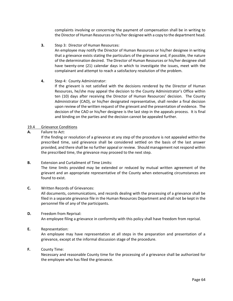complaints involving or concerning the payment of compensation shall be in writing to the Director of Human Resources or his/her designee with a copy to the department head.

**3.** Step 3: Director of Human Resources:

An employee may notify the Director of Human Resources or his/her designee in writing that a grievance exists stating the particulars of the grievance and, if possible, the nature of the determination desired. The Director of Human Resources or his/her designee shall have twenty-one (21) calendar days in which to investigate the issues, meet with the complainant and attempt to reach a satisfactory resolution of the problem.

## **4.** Step 4: County Administrator:

If the grievant is not satisfied with the decisions rendered by the Director of Human Resources, he/she may appeal the decision to the County Administrator's Office within ten (10) days after receiving the Director of Human Resources' decision. The County Administrator (CAO), or his/her designated representative, shall render a final decision upon review of the written request of the grievant and the presentation of evidence. The decision of the CAO or his/her designee is the last step in the appeals process. It is final and binding on the parties and the decision cannot be appealed further.

## 19.4 Grievance Conditions

## **A.** Failure to Act:

If the finding or resolution of a grievance at any step of the procedure is not appealed within the prescribed time, said grievance shall be considered settled on the basis of the last answer provided, and there shall be no further appeal or review. Should management not respond within the prescribed time, the grievance may proceed to the next step.

## **B.** Extension and Curtailment of Time Limits:

The time limits provided may be extended or reduced by mutual written agreement of the grievant and an appropriate representative of the County when extenuating circumstances are found to exist.

## **C.** Written Records of Grievances:

All documents, communications, and records dealing with the processing of a grievance shall be filed in a separate grievance file in the Human Resources Department and shall not be kept in the personnel file of any of the participants.

## **D.** Freedom from Reprisal:

An employee filing a grievance in conformity with this policy shall have freedom from reprisal.

## **E.** Representation:

An employee may have representation at all steps in the preparation and presentation of a grievance, except at the informal discussion stage of the procedure.

#### **F.** County Time:

Necessary and reasonable County time for the processing of a grievance shall be authorized for the employee who has filed the grievance.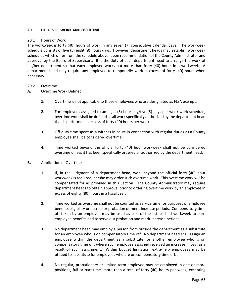#### **20. HOURS OF WORK AND OVERTIME**

#### 20.1 Hours of Work

The workweek is forty (40) hours of work in any seven (7) consecutive calendar days. The workweek schedule consists of five (5) eight (8) hours days. However, department heads may establish workweek schedules which differ from the schedule above, upon recommendation of the County Administrator and approval by the Board of Supervisors. It is the duty of each department head to arrange the work of his/her department so that each employee works not more than forty (40) hours in a workweek. A department head may require any employee to temporarily work in excess of forty (40) hours when necessary.

#### 20.2 Overtime

#### **A.** Overtime Work Defined

- **1.** Overtime is not applicable to those employees who are designated as FLSA exempt.
- **2.** For employees assigned to an eight (8) hour day/five (5) days per week work schedule, overtime work shall be defined as all work specifically authorized by the department head that is performed in excess of forty (40) hours per week.
- **3.** Off duty time spent as a witness in court in connection with regular duties as a County employee shall be considered overtime.
- **4.** Time worked beyond the official forty (40) hour workweek shall not be considered overtime unless it has been specifically ordered or authorized by the department head.

#### **B.** Application of Overtime

- **1.** If, in the judgment of a department head, work beyond the official forty (40) hour workweek is required, he/she may order such overtime work. This overtime work will be compensated for as provided in this Section. The County Administrator may require department heads to obtain approval prior to ordering overtime work by an employee in excess of eighty (80) hours in a fiscal year.
- **2.** Time worked as overtime shall not be counted as service time for purposes of employee benefits eligibility or accrual or probation or merit increase periods. Compensatory time off taken by an employee may be used as part of the established workweek to earn employee benefits and to serve out probation and merit increase periods.
- **3.** No department head may employ a person from outside the department as a substitute for an employee who is on compensatory time off. No department head shall assign an employee within the department as a substitute for another employee who is on compensatory time off, where such employee assigned received an increase in pay, as a result of such assignment. Within budget limitation, extra-help employees may be utilized to substitute for employees who are on compensatory time off.
- **4.** No regular, probationary or limited-term employee may be employed in one or more positions, full or part-time, more than a total of forty (40) hours per week, excepting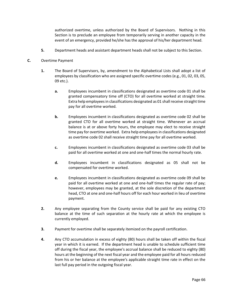authorized overtime, unless authorized by the Board of Supervisors. Nothing in this Section is to preclude an employee from temporarily serving in another capacity in the event of an emergency, provided he/she has the approval of his/her department head.

**5.** Department heads and assistant department heads shall not be subject to this Section.

## **C.** Overtime Payment

- **1.** The Board of Supervisors, by, amendment to the Alphabetical Lists shall adopt a list of employees by classification who are assigned specific overtime codes (e.g., 01, 02, 03, 05, 09 etc.).
	- **a.** Employees incumbent in classifications designated as overtime code 01 shall be granted compensatory time off (CTO) for all overtime worked at straight time. Extra help employees in classifications designated as 01 shall receive straight time pay for all overtime worked.
	- **b.** Employees incumbent in classifications designated as overtime code 02 shall be granted CTO for all overtime worked at straight time. Whenever an accrual balance is at or above forty hours, the employee may elect to receive straight time pay for overtime worked. Extra help employees in classifications designated as overtime code 02 shall receive straight time pay for all overtime worked.
	- **c.** Employees incumbent in classifications designated as overtime code 03 shall be paid for all overtime worked at one and one-half times the normal hourly rate.
	- **d.** Employees incumbent in classifications designated as 05 shall not be compensated for overtime worked.
	- **e.** Employees incumbent in classifications designated as overtime code 09 shall be paid for all overtime worked at one and one-half times the regular rate of pay; however, employees may be granted, at the sole discretion of the department head, CTO at one and one-half hours off for each hour worked in lieu of overtime payment.
- **2.** Any employee separating from the County service shall be paid for any existing CTO balance at the time of such separation at the hourly rate at which the employee is currently employed.
- **3.** Payment for overtime shall be separately itemized on the payroll certification.
- **4.** Any CTO accumulation in excess of eighty (80) hours shall be taken off within the fiscal year in which it is earned. If the department head is unable to schedule sufficient time off during the fiscal year, the employee's accrual balance shall be reduced to eighty (80) hours at the beginning of the next fiscal year and the employee paid for all hours reduced from his or her balance at the employee's applicable straight time rate in effect on the last full pay period in the outgoing fiscal year.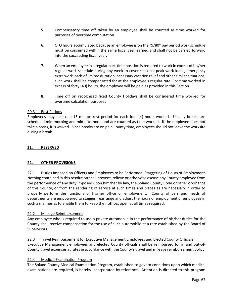- **5.** Compensatory time off taken by an employee shall be counted as time worked for purposes of overtime computation.
- **6.** CTO hours accumulated because an employee is on the "9/80" pay period work schedule must be consumed within the same fiscal year earned and shall not be carried forward into the succeeding fiscal year.
- **7.** When an employee in a regular part-time position is required to work in excess of his/her regular work schedule during any week to cover seasonal peak work loads, emergency extra work loads of limited duration, necessary vacation relief and other similar situations, such work shall be compensated for at the employee's regular rate. For time worked in excess of forty (40) hours, the employee will be paid as provided in this Section.
- **8.** Time off on recognized fixed County Holidays shall be considered time worked for overtime calculation purposes

## 20.3 Rest Periods

Employees may take one 15 minute rest period for each four (4) hours worked. Usually breaks are scheduled mid-morning and mid-afternoon and are counted as time worked. If the employee does not take a break, it is waived. Since breaks are on paid County time, employees should not leave the worksite during a break.

## **21. RESERVED**

## **22. OTHER PROVISIONS**

22.1 Duties Imposed on Officers and Employees to be Performed; Staggering of Hours of Employment Nothing contained in this resolution shall prevent, relieve or otherwise excuse any County employee from the performance of any duty imposed upon him/her by law, the Solano County Code or other ordinance of this County, or from the rendering of service at such times and places as are necessary in order to properly perform the functions of his/her office or employment. County officers and heads of departments are empowered to stagger, rearrange and adjust the hours of employment of employees in such a manner as to enable them to keep their offices open at all times required.

## 22.2 Mileage Reimbursement

Any employee who is required to use a private automobile in the performance of his/her duties for the County shall receive compensation for the use of such automobile at a rate established by the Board of Supervisors.

22.3 Travel Reimbursement for Executive Management Employees and Elected County Officials Executive Management employees and elected County officials shall be reimbursed for in and out-of-County travel expenses at rates in accordance with the County's travel and mileage reimbursement policy.

## 22.4 Medical Examination Program

The Solano County Medical Examination Program, established to govern conditions upon which medical examinations are required, is hereby incorporated by reference. Attention is directed to this program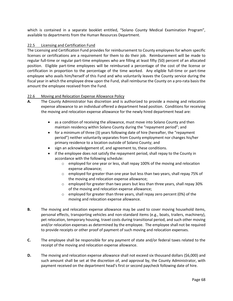which is contained in a separate booklet entitled, "Solano County Medical Examination Program", available to departments from the Human Resources Department.

## 22.5 Licensing and Certification Fund

The Licensing and Certification Fund provides for reimbursement to County employees for whom specific licenses or certifications are a requirement for them to do their job. Reimbursement will be made to regular full-time or regular part-time employees who are filling at least fifty (50) percent of an allocated position. Eligible part-time employees will be reimbursed a percentage of the cost of the license or certification in proportion to the percentage of the time worked. Any eligible full-time or part-time employee who avails him/herself of this Fund and who voluntarily leaves the County service during the fiscal year in which the employee drew upon the Fund, shall reimburse the County on a pro-rata basis the amount the employee received from the Fund.

#### 22.6 Moving and Relocation Expense Allowance Policy

- **A.** The County Administrator has discretion and is authorized to provide a moving and relocation expense allowance to an individual offered a department head position. Conditions for receiving the moving and relocation expense allowance for the newly hired department head are:
	- as a condition of receiving the allowance, must move into Solano County and then maintain residency within Solano County during the "repayment period"; and
	- for a minimum of three (3) years following date of hire (hereafter, the "repayment period") neither voluntarily separates from County employment nor changes his/her primary residence to a location outside of Solano County; and
	- sign an acknowledgement of, and agreement to, these conditions.
	- if the employee does not satisfy the repayment period, shall repay to the County in accordance with the following schedule:
		- o employed for one year or less, shall repay 100% of the moving and relocation expense allowance;
		- o employed for greater than one year but less than two years, shall repay 75% of the moving and relocation expense allowance;
		- o employed for greater than two years but less than three years, shall repay 30% of the moving and relocation expense allowance;
		- o employed for greater than three years, shall repay zero percent (0%) of the moving and relocation expense allowance.
- **B.** The moving and relocation expense allowance may be used to cover moving household items, personal effects, transporting vehicles and non-standard items (e.g., boats, trailers, machinery), pet relocation, temporary housing, travel costs during transitional period, and such other moving and/or relocation expenses as determined by the employee. The employee shall not be required to provide receipts or other proof of payment of such moving and relocation expenses.
- **C.** The employee shall be responsible for any payment of state and/or federal taxes related to the receipt of the moving and relocation expense allowance.
- **D.** The moving and relocation expense allowance shall not exceed six thousand dollars (\$6,000) and such amount shall be set at the discretion of, and approval by, the County Administrator, with payment received on the department head's first or second paycheck following date of hire.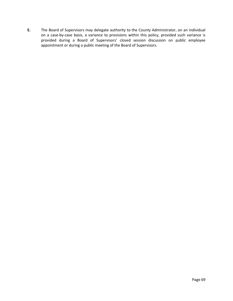**E.** The Board of Supervisors may delegate authority to the County Administrator, on an individual on a case-by-case basis, a variance to provisions within this policy, provided such variance is provided during a Board of Supervisors' closed session discussion on public employee appointment or during a public meeting of the Board of Supervisors.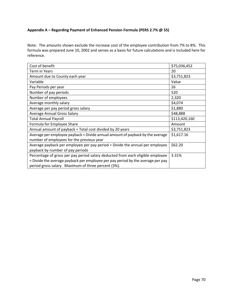# **Appendix A – Regarding Payment of Enhanced Pension Formula (PERS 2.7% @ 55)**

Note: The amounts shown exclude the increase cost of the employee contribution from 7% to 8%. This formula was prepared June 10, 2002 and serves as a basis for future calculations and is included here for reference.

| Cost of benefit                                                                 | \$75,036,452  |
|---------------------------------------------------------------------------------|---------------|
| Term in Years                                                                   | 20            |
| Amount due to County each year                                                  | \$3,751,823   |
| Variable                                                                        | Value         |
| Pay Periods per year                                                            | 26            |
| Number of pay periods                                                           | 520           |
| Number of employees                                                             | 2,320         |
| Average monthly salary                                                          | \$4,074       |
| Average per pay period gross salary                                             | \$1,880       |
| <b>Average Annual Gross Salary</b>                                              | \$48,888      |
| <b>Total Annual Payroll</b>                                                     | \$113,420,160 |
| Formula for Employee Share                                                      | Amount        |
| Annual amount of payback = Total cost divided by 20 years                       | \$3,751,823   |
| Average per employee payback = Divide annual amount of payback by the average   | \$1,617.16    |
| number of employees for the previous year                                       |               |
| Average payback per employee per pay period = Divide the annual per employee    | \$62.20       |
| payback by number of pay periods                                                |               |
| Percentage of gross per pay period salary deducted from each eligible employee  | 3.31%         |
| = Divide the average payback per employee per pay period by the average per pay |               |
| period gross salary. Maximum of three percent (3%).                             |               |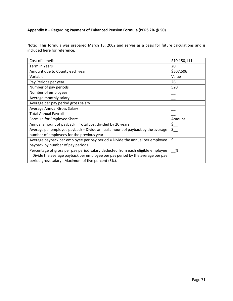# **Appendix B – Regarding Payment of Enhanced Pension Formula (PERS 2% @ 50)**

Note: This formula was prepared March 13, 2002 and serves as a basis for future calculations and is included here for reference.

| Cost of benefit                                                                 | \$10,150,111 |
|---------------------------------------------------------------------------------|--------------|
| Term in Years                                                                   | 20           |
| Amount due to County each year                                                  | \$507,506    |
| Variable                                                                        | Value        |
| Pay Periods per year                                                            | 26           |
| Number of pay periods                                                           | 520          |
| Number of employees                                                             |              |
| Average monthly salary                                                          |              |
| Average per pay period gross salary                                             |              |
| <b>Average Annual Gross Salary</b>                                              |              |
| <b>Total Annual Payroll</b>                                                     |              |
| Formula for Employee Share                                                      | Amount       |
| Annual amount of payback = Total cost divided by 20 years                       | $\zeta_-$    |
| Average per employee payback = Divide annual amount of payback by the average   | $\zeta_{-}$  |
| number of employees for the previous year                                       |              |
| Average payback per employee per pay period = Divide the annual per employee    | $\zeta$      |
| payback by number of pay periods                                                |              |
| Percentage of gross per pay period salary deducted from each eligible employee  | %            |
| = Divide the average payback per employee per pay period by the average per pay |              |
| period gross salary. Maximum of five percent (5%).                              |              |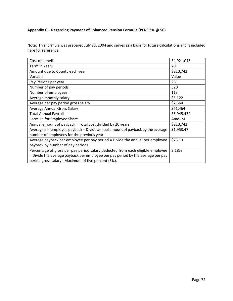# **Appendix C – Regarding Payment of Enhanced Pension Formula (PERS 3% @ 50)**

Note: This formula was prepared July 23, 2004 and serves as a basis for future calculations and is included here for reference.

| Cost of benefit                                                                 | \$4,921,043 |
|---------------------------------------------------------------------------------|-------------|
| Term in Years                                                                   | 20          |
| Amount due to County each year                                                  | \$220,742   |
| Variable                                                                        | Value       |
| Pay Periods per year                                                            | 26          |
| Number of pay periods                                                           | 520         |
| Number of employees                                                             | 113         |
| Average monthly salary                                                          | \$5,122     |
| Average per pay period gross salary                                             | \$2,364     |
| <b>Average Annual Gross Salary</b>                                              | \$61,464    |
| <b>Total Annual Payroll</b>                                                     | \$6,945,432 |
| Formula for Employee Share                                                      | Amount      |
| Annual amount of payback = Total cost divided by 20 years                       | \$220,742   |
| Average per employee payback = Divide annual amount of payback by the average   | \$1,953.47  |
| number of employees for the previous year                                       |             |
| Average payback per employee per pay period = Divide the annual per employee    | \$75.13     |
| payback by number of pay periods                                                |             |
| Percentage of gross per pay period salary deducted from each eligible employee  | 3.18%       |
| = Divide the average payback per employee per pay period by the average per pay |             |
| period gross salary. Maximum of five percent (5%).                              |             |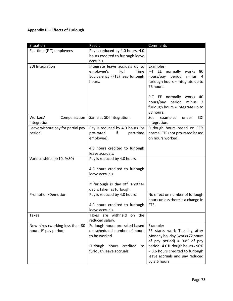## **Appendix D – Effects of Furlough**

| Situation                         | Result                                       | Comments                               |
|-----------------------------------|----------------------------------------------|----------------------------------------|
| Full-time (F-T) employees         | Pay is reduced by 4.0 hours. 4.0             |                                        |
|                                   | hours credited to furlough leave             |                                        |
|                                   | accruals.                                    |                                        |
| SDI Integration                   | Integrate leave accruals up to               | Examples:                              |
|                                   | employee's<br>Full<br>Time                   | F-T EE normally works<br>80            |
|                                   | Equivalency (FTE) less furlough              | hours/pay period<br>minus<br>4         |
|                                   | hours.                                       | furlough hours = integrate up to       |
|                                   |                                              | 76 hours.                              |
|                                   |                                              | EE normally works<br>P-T<br>40         |
|                                   |                                              | hours/pay<br>period<br>minus<br>2      |
|                                   |                                              | furlough hours = integrate up to       |
|                                   |                                              | 38 hours.                              |
| Workers'<br>Compensation          | Same as SDI integration.                     | examples<br>under<br><b>SDI</b><br>See |
| integration                       |                                              | integration.                           |
| Leave without pay for partial pay | Pay is reduced by 4.0 hours (or              | Furlough hours based on EE's           |
| period                            | pro-rated<br>if<br>part-time                 | normal FTE (not pro-rated based        |
|                                   | employee).                                   | on hours worked).                      |
|                                   | 4.0 hours credited to furlough               |                                        |
|                                   | leave accruals.                              |                                        |
| Various shifts (4/10, 9/80)       | Pay is reduced by 4.0 hours.                 |                                        |
|                                   | 4.0 hours credited to furlough               |                                        |
|                                   | leave accruals.                              |                                        |
|                                   |                                              |                                        |
|                                   | If furlough is day off, another              |                                        |
|                                   | day is taken as furlough.                    |                                        |
| Promotion/Demotion                | Pay is reduced by 4.0 hours.                 | No effect on number of furlough        |
|                                   |                                              | hours unless there is a change in      |
|                                   | 4.0 hours credited to furlough               | FTE.                                   |
|                                   | leave accruals.                              |                                        |
| <b>Taxes</b>                      | Taxes are withheld on the<br>reduced salary. |                                        |
| New hires (working less than 80   | Furlough hours pro-rated based               | Example:                               |
| hours 1 <sup>st</sup> pay period) | on scheduled number of hours                 | EE starts work Tuesday after           |
|                                   | to be worked.                                | Monday holiday (works 72 hours         |
|                                   |                                              | of pay period) = $90\%$ of pay         |
|                                   | Furlough<br>hours<br>credited<br>to          | period. 4.0 furlough hours x 90%       |
|                                   | furlough leave accruals.                     | = 3.6 hours credited to furlough       |
|                                   |                                              | leave accruals and pay reduced         |
|                                   |                                              | by 3.6 hours.                          |